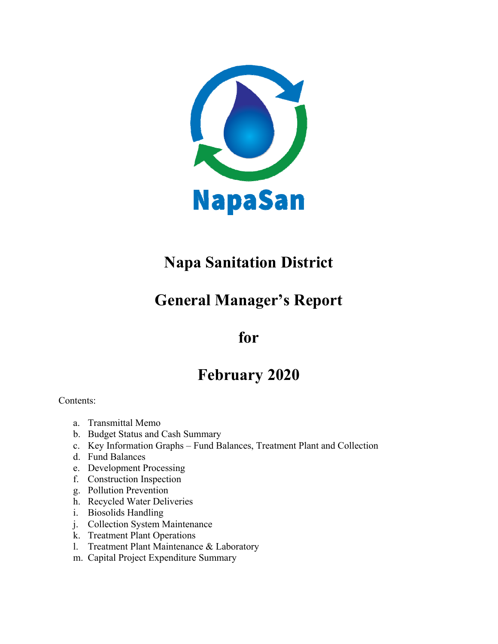

# **Napa Sanitation District**

# **General Manager's Report**

## **for**

## **February 2020**

Contents:

- a. Transmittal Memo
- b. Budget Status and Cash Summary
- c. Key Information Graphs Fund Balances, Treatment Plant and Collection
- d. Fund Balances
- e. Development Processing
- f. Construction Inspection
- g. Pollution Prevention
- h. Recycled Water Deliveries
- i. Biosolids Handling
- j. Collection System Maintenance
- k. Treatment Plant Operations
- l. Treatment Plant Maintenance & Laboratory
- m. Capital Project Expenditure Summary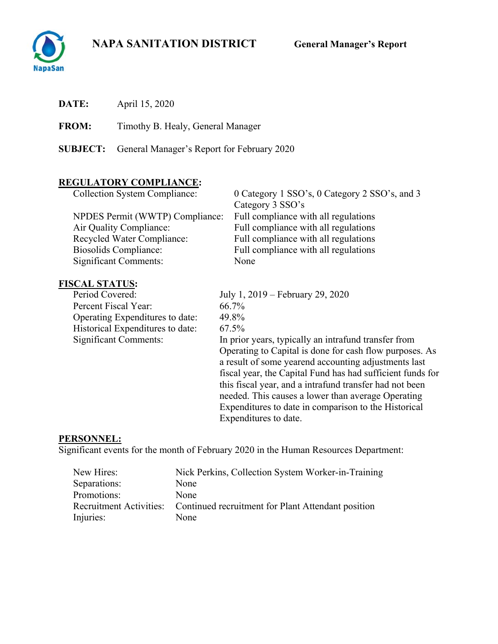## **NAPA SANITATION DISTRICT General Manager's Report**



**DATE:** April 15, 2020

**FROM:** Timothy B. Healy, General Manager

**SUBJECT:** General Manager's Report for February 2020

## **REGULATORY COMPLIANCE:**

| <b>Collection System Compliance:</b> | 0 Category 1 SSO's, 0 Category 2 SSO's, and 3 |
|--------------------------------------|-----------------------------------------------|
|                                      | Category 3 SSO's                              |
| NPDES Permit (WWTP) Compliance:      | Full compliance with all regulations          |
| Air Quality Compliance:              | Full compliance with all regulations          |
| <b>Recycled Water Compliance:</b>    | Full compliance with all regulations          |
| <b>Biosolids Compliance:</b>         | Full compliance with all regulations          |
| <b>Significant Comments:</b>         | None                                          |

# **FISCAL STATUS:**<br>Period Covered:

Percent Fiscal Year: 66.7% Operating Expenditures to date: 49.8% Historical Expenditures to date: 67.5%<br>Significant Comments: In prio

July 1, 2019 – February 29, 2020 In prior years, typically an intrafund transfer from Operating to Capital is done for cash flow purposes. As a result of some yearend accounting adjustments last fiscal year, the Capital Fund has had sufficient funds for this fiscal year, and a intrafund transfer had not been needed. This causes a lower than average Operating Expenditures to date in comparison to the Historical Expenditures to date.

#### **PERSONNEL:**

Significant events for the month of February 2020 in the Human Resources Department:

| New Hires:   | Nick Perkins, Collection System Worker-in-Training                         |
|--------------|----------------------------------------------------------------------------|
| Separations: | None                                                                       |
| Promotions:  | None                                                                       |
|              | Recruitment Activities: Continued recruitment for Plant Attendant position |
| Injuries:    | None                                                                       |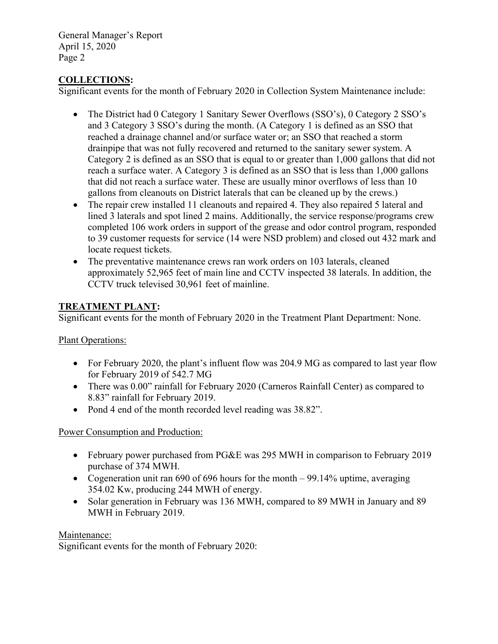## **COLLECTIONS:**

Significant events for the month of February 2020 in Collection System Maintenance include:

- The District had 0 Category 1 Sanitary Sewer Overflows (SSO's), 0 Category 2 SSO's and 3 Category 3 SSO's during the month. (A Category 1 is defined as an SSO that reached a drainage channel and/or surface water or; an SSO that reached a storm drainpipe that was not fully recovered and returned to the sanitary sewer system. A Category 2 is defined as an SSO that is equal to or greater than 1,000 gallons that did not reach a surface water. A Category 3 is defined as an SSO that is less than 1,000 gallons that did not reach a surface water. These are usually minor overflows of less than 10 gallons from cleanouts on District laterals that can be cleaned up by the crews.)
- The repair crew installed 11 cleanouts and repaired 4. They also repaired 5 lateral and lined 3 laterals and spot lined 2 mains. Additionally, the service response/programs crew completed 106 work orders in support of the grease and odor control program, responded to 39 customer requests for service (14 were NSD problem) and closed out 432 mark and locate request tickets.
- The preventative maintenance crews ran work orders on 103 laterals, cleaned approximately 52,965 feet of main line and CCTV inspected 38 laterals. In addition, the CCTV truck televised 30,961 feet of mainline.

## **TREATMENT PLANT:**

Significant events for the month of February 2020 in the Treatment Plant Department: None.

#### Plant Operations:

- For February 2020, the plant's influent flow was 204.9 MG as compared to last year flow for February 2019 of 542.7 MG
- There was 0.00" rainfall for February 2020 (Carneros Rainfall Center) as compared to 8.83" rainfall for February 2019.
- Pond 4 end of the month recorded level reading was 38.82".

#### Power Consumption and Production:

- February power purchased from PG&E was 295 MWH in comparison to February 2019 purchase of 374 MWH.
- Cogeneration unit ran 690 of 696 hours for the month 99.14% uptime, averaging 354.02 Kw, producing 244 MWH of energy.
- Solar generation in February was 136 MWH, compared to 89 MWH in January and 89 MWH in February 2019.

#### Maintenance:

Significant events for the month of February 2020: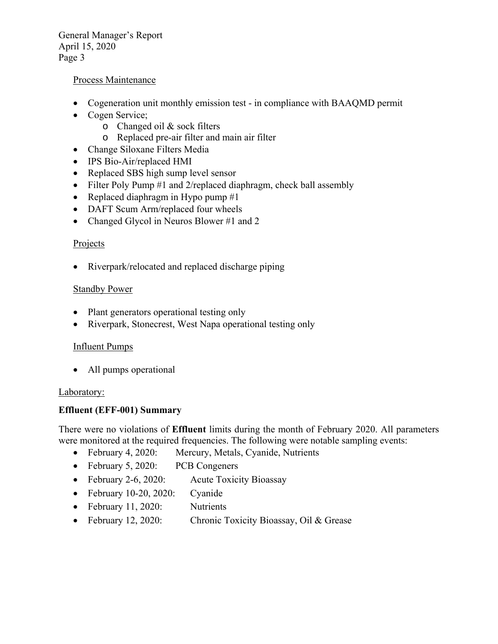#### Process Maintenance

- Cogeneration unit monthly emission test in compliance with BAAQMD permit
- Cogen Service;
	- o Changed oil & sock filters
	- o Replaced pre-air filter and main air filter
- Change Siloxane Filters Media
- IPS Bio-Air/replaced HMI
- Replaced SBS high sump level sensor
- Filter Poly Pump #1 and 2/replaced diaphragm, check ball assembly
- Replaced diaphragm in Hypo pump  $#1$
- DAFT Scum Arm/replaced four wheels
- Changed Glycol in Neuros Blower #1 and 2

#### Projects

• Riverpark/relocated and replaced discharge piping

#### Standby Power

- Plant generators operational testing only
- Riverpark, Stonecrest, West Napa operational testing only

#### Influent Pumps

• All pumps operational

#### Laboratory:

#### **Effluent (EFF-001) Summary**

There were no violations of **Effluent** limits during the month of February 2020. All parameters were monitored at the required frequencies. The following were notable sampling events:

- February 4, 2020: Mercury, Metals, Cyanide, Nutrients
- February 5, 2020: PCB Congeners
- February 2-6, 2020: Acute Toxicity Bioassay
- February 10-20, 2020: Cyanide
- February 11, 2020: Nutrients
- February 12, 2020: Chronic Toxicity Bioassay, Oil & Grease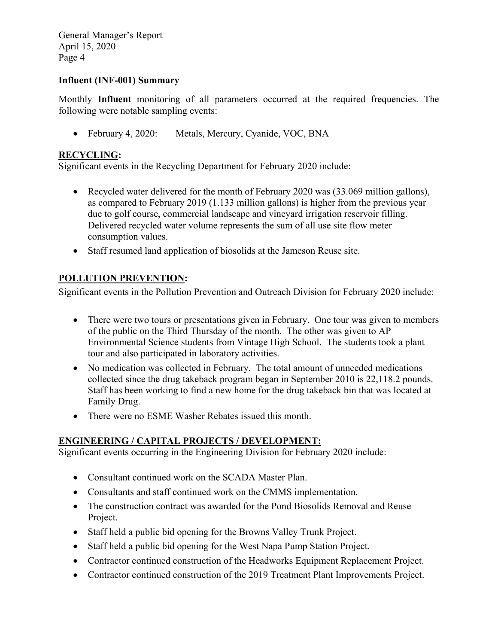#### **Influent (INF-001) Summary**

Monthly **Influent** monitoring of all parameters occurred at the required frequencies. The following were notable sampling events:

February 4, 2020: Metals, Mercury, Cyanide, VOC, BNA

#### **RECYCLING:**

Significant events in the Recycling Department for February 2020 include:

- Recycled water delivered for the month of February 2020 was (33.069 million gallons), as compared to February 2019 (1.133 million gallons) is higher from the previous year due to golf course, commercial landscape and vineyard irrigation reservoir filling. Delivered recycled water volume represents the sum of all use site flow meter consumption values.
- Staff resumed land application of biosolids at the Jameson Reuse site.

## **POLLUTION PREVENTION:**

Significant events in the Pollution Prevention and Outreach Division for February 2020 include:

- There were two tours or presentations given in February. One tour was given to members of the public on the Third Thursday of the month. The other was given to AP Environmental Science students from Vintage High School. The students took a plant tour and also participated in laboratory activities.
- No medication was collected in February. The total amount of unneeded medications collected since the drug takeback program began in September 2010 is 22,118.2 pounds. Staff has been working to find a new home for the drug takeback bin that was located at Family Drug.
- There were no ESME Washer Rebates issued this month.

#### **ENGINEERING / CAPITAL PROJECTS / DEVELOPMENT:**

Significant events occurring in the Engineering Division for February 2020 include:

- Consultant continued work on the SCADA Master Plan.
- Consultants and staff continued work on the CMMS implementation.
- The construction contract was awarded for the Pond Biosolids Removal and Reuse Project.
- Staff held a public bid opening for the Browns Valley Trunk Project.
- Staff held a public bid opening for the West Napa Pump Station Project.
- Contractor continued construction of the Headworks Equipment Replacement Project.
- Contractor continued construction of the 2019 Treatment Plant Improvements Project.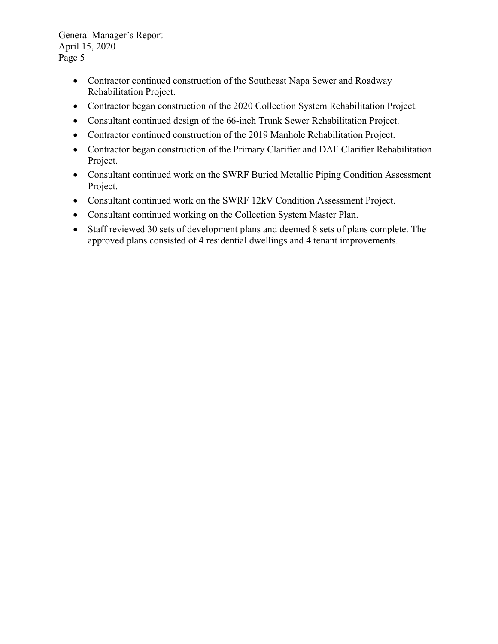- Contractor continued construction of the Southeast Napa Sewer and Roadway Rehabilitation Project.
- Contractor began construction of the 2020 Collection System Rehabilitation Project.
- Consultant continued design of the 66-inch Trunk Sewer Rehabilitation Project.
- Contractor continued construction of the 2019 Manhole Rehabilitation Project.
- Contractor began construction of the Primary Clarifier and DAF Clarifier Rehabilitation Project.
- Consultant continued work on the SWRF Buried Metallic Piping Condition Assessment Project.
- Consultant continued work on the SWRF 12kV Condition Assessment Project.
- Consultant continued working on the Collection System Master Plan.
- Staff reviewed 30 sets of development plans and deemed 8 sets of plans complete. The approved plans consisted of 4 residential dwellings and 4 tenant improvements.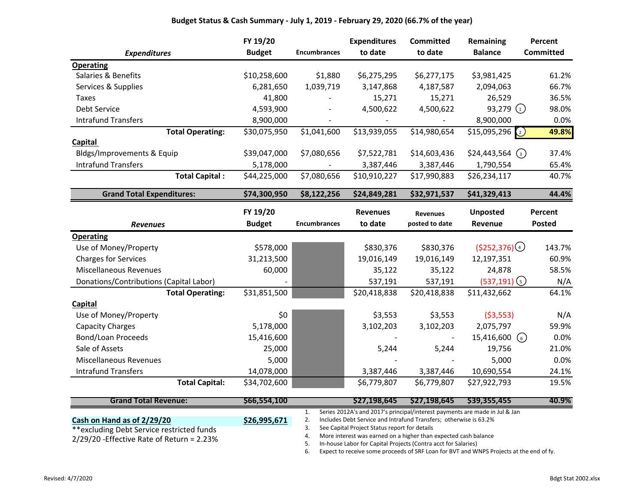#### **Budget Status & Cash Summary - July 1, 2019 - February 29, 2020 (66.7% of the year)**

|                                         | FY 19/20      |                     | <b>Expenditures</b> | <b>Committed</b> | <b>Remaining</b>                 | Percent          |
|-----------------------------------------|---------------|---------------------|---------------------|------------------|----------------------------------|------------------|
| <b>Expenditures</b>                     | <b>Budget</b> | <b>Encumbrances</b> | to date             | to date          | <b>Balance</b>                   | <b>Committed</b> |
| <b>Operating</b>                        |               |                     |                     |                  |                                  |                  |
| Salaries & Benefits                     | \$10,258,600  | \$1,880             | \$6,275,295         | \$6,277,175      | \$3,981,425                      | 61.2%            |
| Services & Supplies                     | 6,281,650     | 1,039,719           | 3,147,868           | 4,187,587        | 2,094,063                        | 66.7%            |
| Taxes                                   | 41,800        |                     | 15,271              | 15,271           | 26,529                           | 36.5%            |
| Debt Service                            | 4,593,900     | $\blacksquare$      | 4,500,622           | 4,500,622        | 93,279 $(1)$                     | 98.0%            |
| <b>Intrafund Transfers</b>              | 8,900,000     |                     |                     |                  | 8,900,000                        | 0.0%             |
| <b>Total Operating:</b>                 | \$30,075,950  | \$1,041,600         | \$13,939,055        | \$14,980,654     | \$15,095,296<br>$\binom{2}{2}$   | 49.8%            |
| Capital                                 |               |                     |                     |                  |                                  |                  |
| Bldgs/Improvements & Equip              | \$39,047,000  | \$7,080,656         | \$7,522,781         | \$14,603,436     | \$24,443,564<br>$\left(3\right)$ | 37.4%            |
| <b>Intrafund Transfers</b>              | 5,178,000     |                     | 3,387,446           | 3,387,446        | 1,790,554                        | 65.4%            |
| <b>Total Capital:</b>                   | \$44,225,000  | \$7,080,656         | \$10,910,227        | \$17,990,883     | \$26,234,117                     | 40.7%            |
| <b>Grand Total Expenditures:</b>        | \$74,300,950  | \$8,122,256         | \$24,849,281        | \$32,971,537     | \$41,329,413                     | 44.4%            |
|                                         | FY 19/20      |                     | <b>Revenues</b>     | <b>Revenues</b>  | <b>Unposted</b>                  | Percent          |
| <b>Revenues</b>                         | <b>Budget</b> | <b>Encumbrances</b> | to date             | posted to date   | Revenue                          | <b>Posted</b>    |
|                                         |               |                     |                     |                  |                                  |                  |
| <b>Operating</b>                        |               |                     |                     |                  |                                  |                  |
| Use of Money/Property                   | \$578,000     |                     | \$830,376           | \$830,376        | $(5252,376)$ <sup>4</sup>        | 143.7%           |
| <b>Charges for Services</b>             | 31,213,500    |                     | 19,016,149          | 19,016,149       | 12,197,351                       | 60.9%            |
| <b>Miscellaneous Revenues</b>           | 60,000        |                     | 35,122              | 35,122           | 24,878                           | 58.5%            |
| Donations/Contributions (Capital Labor) |               |                     | 537,191             | 537,191          | $(537,191)$ (5)                  | N/A              |
| <b>Total Operating:</b>                 | \$31,851,500  |                     | \$20,418,838        | \$20,418,838     | \$11,432,662                     | 64.1%            |
| Capital                                 |               |                     |                     |                  |                                  |                  |
| Use of Money/Property                   | \$0           |                     | \$3,553             | \$3,553          | ( \$3,553)                       | N/A              |
| <b>Capacity Charges</b>                 | 5,178,000     |                     | 3,102,203           | 3,102,203        | 2,075,797                        | 59.9%            |
| Bond/Loan Proceeds                      | 15,416,600    |                     |                     |                  | 15,416,600<br>(6)                | 0.0%             |
| Sale of Assets                          | 25,000        |                     | 5,244               | 5,244            | 19,756                           | 21.0%            |
| <b>Miscellaneous Revenues</b>           | 5,000         |                     |                     |                  | 5,000                            | 0.0%             |
| <b>Intrafund Transfers</b>              | 14,078,000    |                     | 3,387,446           | 3,387,446        | 10,690,554                       | 24.1%            |

| <b>Grand Total Revenue:</b>                 | \$66,554,100 |    | \$27,198,645<br>S27.198.645<br>\$39,355,455                                 | 40.9% |
|---------------------------------------------|--------------|----|-----------------------------------------------------------------------------|-------|
|                                             |              |    | Series 2012A's and 2017's principal/interest payments are made in Jul & Jan |       |
| Cash on Hand as of 2/29/20                  | \$26,995,671 |    | Includes Debt Service and Intrafund Transfers; otherwise is 63.2%           |       |
| **excluding Debt Service restricted funds   |              |    | See Capital Project Status report for details                               |       |
| $2/29/20$ -Effective Rate of Return = 2.23% |              | 4. | More interest was earned on a higher than expected cash balance             |       |
|                                             |              |    | In-house Labor for Capital Projects (Contra acct for Salaries)              |       |

6. Expect to receive some proceeds of SRF Loan for BVT and WNPS Projects at the end of fy.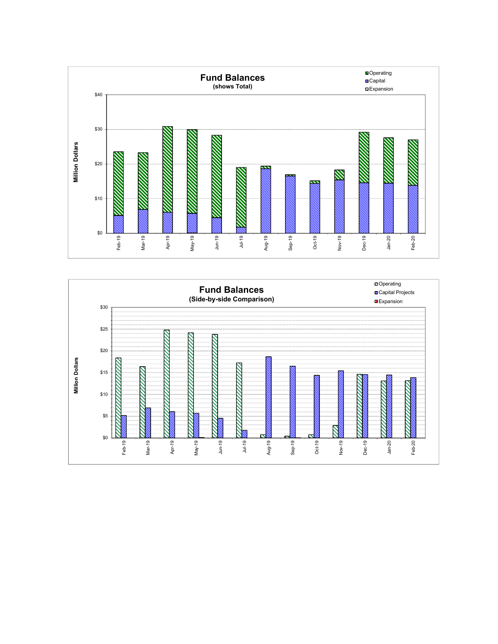

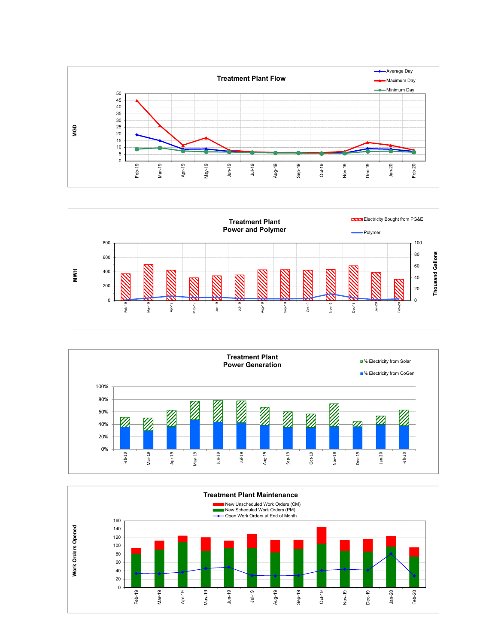





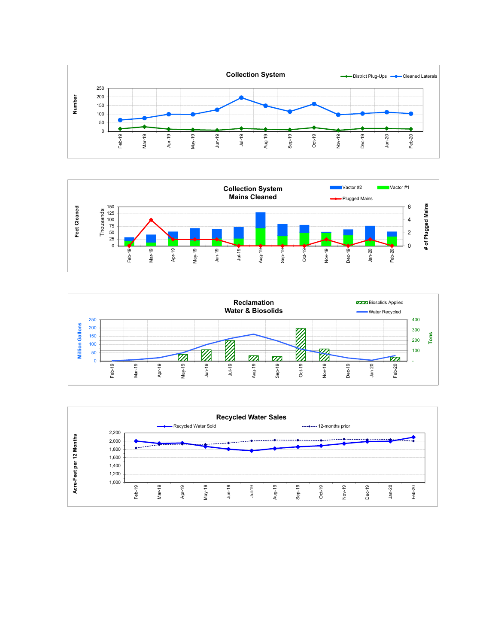





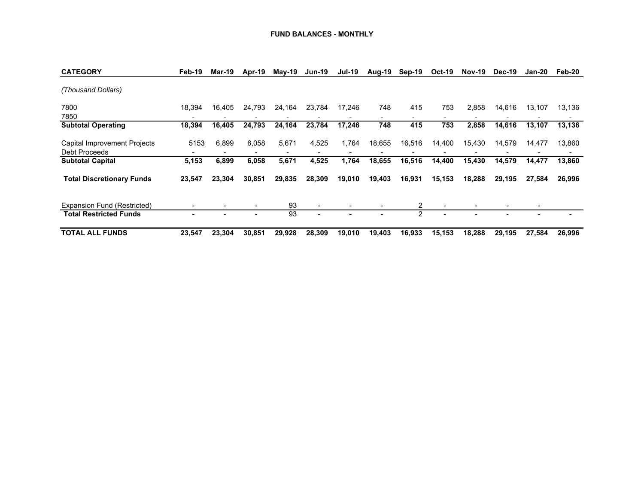| <b>CATEGORY</b>                               | Feb-19 | <b>Mar-19</b> | Apr-19 | $May-19$ | <b>Jun-19</b>                | <b>Jul-19</b> | Aug-19 | Sep-19 | <b>Oct-19</b> | <b>Nov-19</b> | Dec-19 | Jan-20                   | Feb-20 |
|-----------------------------------------------|--------|---------------|--------|----------|------------------------------|---------------|--------|--------|---------------|---------------|--------|--------------------------|--------|
| (Thousand Dollars)                            |        |               |        |          |                              |               |        |        |               |               |        |                          |        |
| 7800<br>7850                                  | 18.394 | 16.405        | 24,793 | 24,164   | 23,784                       | 17.246        | 748    | 415    | 753           | 2,858         | 14,616 | 13,107                   | 13,136 |
| <b>Subtotal Operating</b>                     | 18,394 | 16.405        | 24,793 | 24,164   | 23,784                       | 17,246        | 748    | 415    | 753           | 2,858         | 14,616 | 13.107                   | 13,136 |
| Capital Improvement Projects<br>Debt Proceeds | 5153   | 6.899         | 6.058  | 5,671    | 4,525                        | 1.764         | 18,655 | 16,516 | 14,400        | 15,430        | 14,579 | 14,477                   | 13,860 |
| <b>Subtotal Capital</b>                       | 5,153  | 6,899         | 6,058  | 5,671    | 4,525                        | 1,764         | 18,655 | 16,516 | 14,400        | 15,430        | 14,579 | 14,477                   | 13,860 |
| <b>Total Discretionary Funds</b>              | 23,547 | 23.304        | 30.851 | 29,835   | 28,309                       | 19,010        | 19,403 | 16,931 | 15,153        | 18,288        | 29.195 | 27,584                   | 26,996 |
| Expansion Fund (Restricted)                   |        |               |        | 93       | $\qquad \qquad \blacksquare$ |               |        | 2      |               |               |        | $\overline{\phantom{0}}$ |        |
| <b>Total Restricted Funds</b>                 |        |               |        | 93       |                              |               |        | 2      |               |               |        |                          |        |
| <b>TOTAL ALL FUNDS</b>                        | 23.547 | 23,304        | 30.851 | 29,928   | 28,309                       | 19,010        | 19,403 | 16,933 | 15,153        | 18.288        | 29.195 | 27,584                   | 26,996 |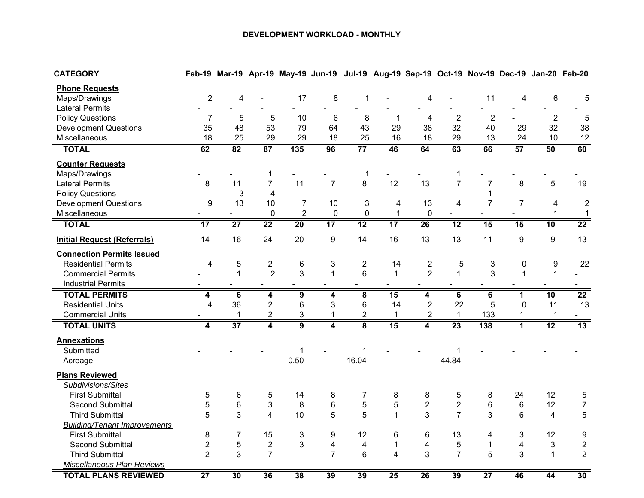#### **DEVELOPMENT WORKLOAD - MONTHLY**

| <b>CATEGORY</b>                     |                  |                 |                         |                  | Feb-19 Mar-19 Apr-19 May-19 Jun-19 Jul-19 Aug-19 Sep-19 Oct-19 Nov-19 Dec-19 Jan-20 Feb-20 |                         |                 |                         |                |                 |                |                           |                  |
|-------------------------------------|------------------|-----------------|-------------------------|------------------|--------------------------------------------------------------------------------------------|-------------------------|-----------------|-------------------------|----------------|-----------------|----------------|---------------------------|------------------|
| <b>Phone Requests</b>               |                  |                 |                         |                  |                                                                                            |                         |                 |                         |                |                 |                |                           |                  |
| Maps/Drawings                       | $\overline{2}$   | 4               |                         | 17               | 8                                                                                          | 1                       |                 | 4                       |                | 11              | 4              | $\,6$                     | 5                |
| <b>Lateral Permits</b>              |                  |                 |                         |                  |                                                                                            |                         |                 |                         |                |                 |                |                           |                  |
| <b>Policy Questions</b>             | $\overline{7}$   | 5               | 5                       | 10               | 6                                                                                          | 8                       | 1               | 4                       | $\overline{2}$ | $\overline{c}$  |                | $\overline{2}$            | 5                |
| <b>Development Questions</b>        | 35               | 48              | 53                      | 79               | 64                                                                                         | 43                      | 29              | 38                      | 32             | 40              | 29             | 32                        | 38               |
| Miscellaneous                       | 18               | 25              | 29                      | 29               | 18                                                                                         | 25                      | 16              | 18                      | 29             | 13              | 24             | 10                        | 12               |
| <b>TOTAL</b>                        | 62               | 82              | 87                      | $\overline{135}$ | 96                                                                                         | $\overline{77}$         | 46              | 64                      | 63             | 66              | 57             | 50                        | 60               |
| <b>Counter Requests</b>             |                  |                 |                         |                  |                                                                                            |                         |                 |                         |                |                 |                |                           |                  |
| Maps/Drawings                       |                  |                 | $\mathbf{1}$            |                  |                                                                                            | 1                       |                 |                         | $\mathbf 1$    |                 |                |                           |                  |
| <b>Lateral Permits</b>              | 8                | 11              | $\overline{7}$          | 11               | $\overline{7}$                                                                             | 8                       | 12              | 13                      | $\overline{7}$ | $\overline{7}$  | 8              | 5                         | 19               |
| <b>Policy Questions</b>             |                  | 3               | $\overline{\mathbf{4}}$ |                  |                                                                                            |                         |                 |                         |                | $\mathbf{1}$    |                |                           |                  |
| <b>Development Questions</b>        | $\boldsymbol{9}$ | 13              | 10                      | $\overline{7}$   | 10                                                                                         | 3                       | $\overline{4}$  | 13                      | 4              | $\overline{7}$  | $\overline{7}$ | $\overline{4}$            | $\overline{c}$   |
| Miscellaneous                       | ۰                |                 | $\pmb{0}$               | $\overline{2}$   | $\pmb{0}$                                                                                  | $\pmb{0}$               | $\mathbf 1$     | 0                       | $\blacksquare$ | $\blacksquare$  |                | 1                         | $\mathbf{1}$     |
| <b>TOTAL</b>                        | $\overline{17}$  | $\overline{27}$ | $\overline{22}$         | 20               | 17                                                                                         | $\overline{12}$         | $\overline{17}$ | 26                      | 12             | 15              | 15             | 10                        | $\overline{22}$  |
| <b>Initial Request (Referrals)</b>  | 14               | 16              | 24                      | 20               | 9                                                                                          | 14                      | 16              | 13                      | 13             | 11              | 9              | $\boldsymbol{9}$          | 13               |
| <b>Connection Permits Issued</b>    |                  |                 |                         |                  |                                                                                            |                         |                 |                         |                |                 |                |                           |                  |
| <b>Residential Permits</b>          | $\overline{4}$   | $\mathbf 5$     | $\overline{c}$          | 6                | 3                                                                                          | $\overline{c}$          | 14              | $\overline{\mathbf{c}}$ | 5              | 3               | 0              | 9                         | 22               |
| <b>Commercial Permits</b>           |                  | $\mathbf{1}$    | $\overline{2}$          | 3                | $\mathbf{1}$                                                                               | $6\phantom{1}$          | $\mathbf{1}$    | $\overline{2}$          | $\mathbf{1}$   | 3               | $\mathbf{1}$   | $\mathbf{1}$              |                  |
| <b>Industrial Permits</b>           |                  |                 |                         |                  |                                                                                            |                         |                 |                         |                |                 |                |                           |                  |
| <b>TOTAL PERMITS</b>                | 4                | 6               | $\overline{\mathbf{4}}$ | 9                | 4                                                                                          | $\overline{\mathbf{8}}$ | 15              | 4                       | 6              | 6               | 1              | 10                        | $\overline{22}$  |
| <b>Residential Units</b>            | $\overline{4}$   | 36              | $\overline{c}$          | 6                | 3                                                                                          | 6                       | 14              | $\overline{2}$          | 22             | 5               | $\overline{0}$ | 11                        | 13               |
| <b>Commercial Units</b>             |                  | 1               | $\overline{c}$          | 3                | 1                                                                                          | $\overline{c}$          | 1               | $\overline{2}$          | $\mathbf{1}$   | 133             | 1              | $\mathbf 1$               |                  |
| <b>TOTAL UNITS</b>                  | 4                | $\overline{37}$ | 4                       | $\overline{9}$   | 4                                                                                          | 8                       | 15              | 4                       | 23             | 138             | $\overline{1}$ | 12                        | 13               |
| <b>Annexations</b>                  |                  |                 |                         |                  |                                                                                            |                         |                 |                         |                |                 |                |                           |                  |
| Submitted                           |                  |                 |                         | 1                |                                                                                            | 1                       |                 |                         | $\mathbf 1$    |                 |                |                           |                  |
| Acreage                             |                  |                 |                         | 0.50             |                                                                                            | 16.04                   |                 |                         | 44.84          |                 |                |                           |                  |
| <b>Plans Reviewed</b>               |                  |                 |                         |                  |                                                                                            |                         |                 |                         |                |                 |                |                           |                  |
| Subdivisions/Sites                  |                  |                 |                         |                  |                                                                                            |                         |                 |                         |                |                 |                |                           |                  |
| <b>First Submittal</b>              | 5                | 6               | 5                       | 14               | 8                                                                                          | $\overline{7}$          | 8               | 8                       | 5              | 8               | 24             | 12                        | $\sqrt{5}$       |
| <b>Second Submittal</b>             | 5                | 6               | 3                       | 8                | 6                                                                                          | 5                       | 5               | $\boldsymbol{2}$        | $\overline{c}$ | 6               | 6              | 12                        | $\boldsymbol{7}$ |
| <b>Third Submittal</b>              | 5                | 3               | 4                       | 10               | 5                                                                                          | 5                       | $\mathbf{1}$    | 3                       | $\overline{7}$ | 3               | 6              | $\overline{4}$            | 5                |
| <b>Building/Tenant Improvements</b> |                  |                 |                         |                  |                                                                                            |                         |                 |                         |                |                 |                |                           |                  |
| <b>First Submittal</b>              | 8                | $\overline{7}$  | 15                      | 3                | 9                                                                                          | 12                      | 6               | 6                       | 13             | 4               | 3              | 12                        | 9                |
| <b>Second Submittal</b>             | $\overline{2}$   | 5               | $\overline{2}$          | 3                | $\overline{\mathbf{4}}$                                                                    | 4                       | $\mathbf 1$     | $\overline{\mathbf{4}}$ | 5              | $\mathbf{1}$    | $\overline{4}$ | $\ensuremath{\mathsf{3}}$ | $\sqrt{2}$       |
| <b>Third Submittal</b>              | $\overline{c}$   | 3               | $\overline{7}$          |                  | $\overline{7}$                                                                             | $6\phantom{1}6$         | 4               | 3                       | $\overline{7}$ | 5               | 3              | $\mathbf 1$               | $\overline{c}$   |
| Miscellaneous Plan Reviews          |                  |                 |                         |                  |                                                                                            |                         |                 |                         |                |                 |                |                           |                  |
| <b>TOTAL PLANS REVIEWED</b>         | $\overline{27}$  | 30              | 36                      | 38               | 39                                                                                         | 39                      | 25              | 26                      | 39             | $\overline{27}$ | 46             | 44                        | 30               |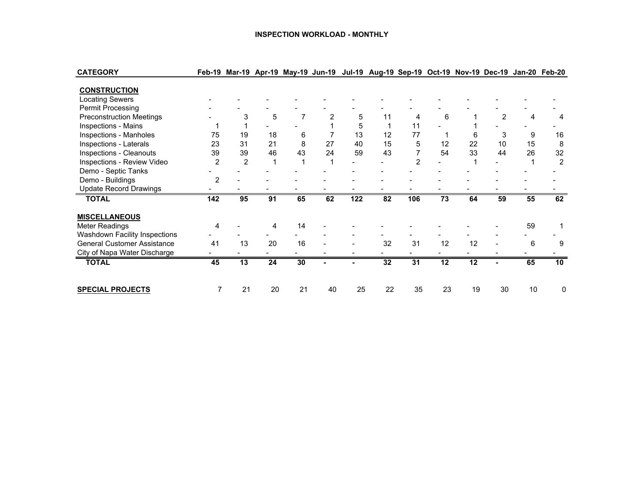#### **INSPECTION WORKLOAD - MONTHLY**

| <b>CATEGORY</b>                    |                |                |    |    |    |     |    |                |    |    |                |    | Feb-19 Mar-19 Apr-19 May-19 Jun-19 Jul-19 Aug-19 Sep-19 Oct-19 Nov-19 Dec-19 Jan-20 Feb-20 |
|------------------------------------|----------------|----------------|----|----|----|-----|----|----------------|----|----|----------------|----|--------------------------------------------------------------------------------------------|
| <b>CONSTRUCTION</b>                |                |                |    |    |    |     |    |                |    |    |                |    |                                                                                            |
| <b>Locating Sewers</b>             |                |                |    |    |    |     |    |                |    |    |                |    |                                                                                            |
| <b>Permit Processing</b>           |                |                |    |    |    |     |    |                |    |    |                |    |                                                                                            |
| <b>Preconstruction Meetings</b>    |                | 3              | 5  |    | 2  | 5   | 11 | 4              | 6  |    | $\overline{2}$ | 4  |                                                                                            |
| Inspections - Mains                |                |                |    |    |    | 5   |    | 11             |    |    |                |    |                                                                                            |
| Inspections - Manholes             | 75             | 19             | 18 | 6  |    | 13  | 12 | 77             |    | 6  | 3              | 9  | 16                                                                                         |
| Inspections - Laterals             | 23             | 31             | 21 | 8  | 27 | 40  | 15 | 5              | 12 | 22 | 10             | 15 | 8                                                                                          |
| Inspections - Cleanouts            | 39             | 39             | 46 | 43 | 24 | 59  | 43 | 7              | 54 | 33 | 44             | 26 | 32                                                                                         |
| Inspections - Review Video         | $\overline{2}$ | $\overline{2}$ |    | 1  |    |     |    | $\mathfrak{p}$ |    |    |                |    | 2                                                                                          |
| Demo - Septic Tanks                |                |                |    |    |    |     |    |                |    |    |                |    |                                                                                            |
| Demo - Buildings                   | $\overline{2}$ |                |    |    |    |     |    |                |    |    |                |    |                                                                                            |
| <b>Update Record Drawings</b>      |                |                |    |    |    |     |    |                |    |    |                |    |                                                                                            |
| <b>TOTAL</b>                       | 142            | 95             | 91 | 65 | 62 | 122 | 82 | 106            | 73 | 64 | 59             | 55 | 62                                                                                         |
| <b>MISCELLANEOUS</b>               |                |                |    |    |    |     |    |                |    |    |                |    |                                                                                            |
| Meter Readings                     | 4              |                | 4  | 14 |    |     |    |                |    |    |                | 59 |                                                                                            |
| Washdown Facility Inspections      |                |                |    |    |    |     |    |                |    |    |                |    |                                                                                            |
| <b>General Customer Assistance</b> | 41             | 13             | 20 | 16 |    |     | 32 | 31             | 12 | 12 |                | 6  | 9                                                                                          |
| City of Napa Water Discharge       |                |                |    |    |    |     |    |                |    |    |                |    |                                                                                            |
| <b>TOTAL</b>                       | 45             | 13             | 24 | 30 |    |     | 32 | 31             | 12 | 12 |                | 65 | 10                                                                                         |
| <b>SPECIAL PROJECTS</b>            |                | 21             | 20 | 21 | 40 | 25  | 22 | 35             | 23 | 19 | 30             | 10 | 0                                                                                          |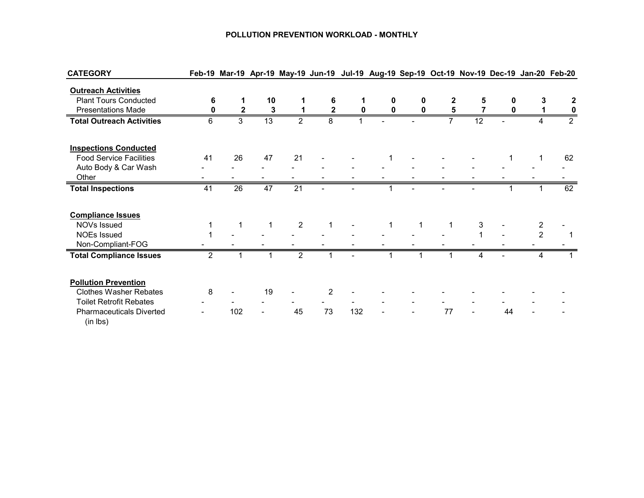#### **POLLUTION PREVENTION WORKLOAD - MONTHLY**

| <b>CATEGORY</b>                             |                |              |                 |                |                |     |          |    |                 |    |                | Feb-19 Mar-19 Apr-19 May-19 Jun-19 Jul-19 Aug-19 Sep-19 Oct-19 Nov-19 Dec-19 Jan-20 Feb-20 |
|---------------------------------------------|----------------|--------------|-----------------|----------------|----------------|-----|----------|----|-----------------|----|----------------|--------------------------------------------------------------------------------------------|
| <b>Outreach Activities</b>                  |                |              |                 |                |                |     |          |    |                 |    |                |                                                                                            |
| <b>Plant Tours Conducted</b>                | 6              |              | 10              |                | 6              |     | 0        | 2  | 5               |    | 3              |                                                                                            |
| <b>Presentations Made</b>                   |                | $\mathbf{2}$ | 3               |                | 2              |     | $\bf{0}$ | 5  |                 |    |                |                                                                                            |
| <b>Total Outreach Activities</b>            | 6              | 3            | $\overline{13}$ | $\overline{2}$ | 8              |     |          |    | $\overline{12}$ |    |                | $\overline{2}$                                                                             |
| <b>Inspections Conducted</b>                |                |              |                 |                |                |     |          |    |                 |    |                |                                                                                            |
| <b>Food Service Facilities</b>              | 41             | 26           | 47              | 21             |                |     |          |    |                 |    |                | 62                                                                                         |
| Auto Body & Car Wash                        |                |              |                 |                |                |     |          |    |                 |    |                |                                                                                            |
| Other                                       |                |              |                 |                |                |     |          |    |                 |    |                |                                                                                            |
| <b>Total Inspections</b>                    | 41             | 26           | 47              | 21             |                |     |          |    |                 |    |                | 62                                                                                         |
|                                             |                |              |                 |                |                |     |          |    |                 |    |                |                                                                                            |
| <b>Compliance Issues</b>                    |                |              |                 |                |                |     |          |    |                 |    |                |                                                                                            |
| NOVs Issued                                 |                |              |                 | $\overline{2}$ |                |     |          |    | 3               |    | 2              |                                                                                            |
| <b>NOEs Issued</b>                          |                |              |                 |                |                |     |          |    |                 |    | $\overline{2}$ |                                                                                            |
| Non-Compliant-FOG                           |                |              |                 |                |                |     |          |    |                 |    |                |                                                                                            |
| <b>Total Compliance Issues</b>              | $\mathfrak{p}$ |              |                 | $\overline{2}$ |                |     |          |    | 4               |    |                |                                                                                            |
| <b>Pollution Prevention</b>                 |                |              |                 |                |                |     |          |    |                 |    |                |                                                                                            |
| <b>Clothes Washer Rebates</b>               | 8              |              | 19              |                | $\overline{2}$ |     |          |    |                 |    |                |                                                                                            |
| <b>Toilet Retrofit Rebates</b>              |                |              |                 |                |                |     |          |    |                 |    |                |                                                                                            |
| <b>Pharmaceuticals Diverted</b><br>(in lbs) |                | 102          |                 | 45             | 73             | 132 |          | 77 | ۰               | 44 |                |                                                                                            |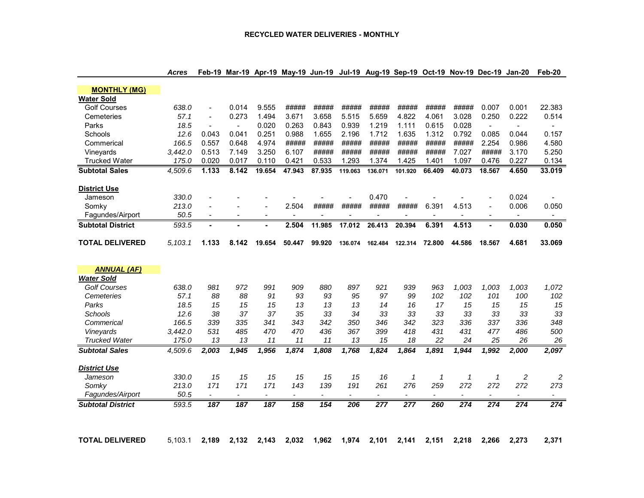| <b>MONTHLY (MG)</b>               |                  |                          |                          |                          |                          |                          |                |                          |                          |                |                          |                          |                          |                         |
|-----------------------------------|------------------|--------------------------|--------------------------|--------------------------|--------------------------|--------------------------|----------------|--------------------------|--------------------------|----------------|--------------------------|--------------------------|--------------------------|-------------------------|
| <b>Water Sold</b>                 |                  |                          |                          |                          |                          |                          |                |                          |                          |                |                          |                          |                          |                         |
| <b>Golf Courses</b>               | 638.0            | $\overline{a}$           | 0.014                    | 9.555                    | #####                    | #####                    | #####          | #####                    | #####                    | #####          | #####                    | 0.007                    | 0.001                    | 22.383                  |
| Cemeteries                        | 57.1             |                          | 0.273                    | 1.494                    | 3.671                    | 3.658                    | 5.515          | 5.659                    | 4.822                    | 4.061          | 3.028                    | 0.250                    | 0.222                    | 0.514                   |
| Parks                             | 18.5             |                          | $\overline{a}$           | 0.020                    | 0.263                    | 0.843                    | 0.939          | 1.219                    | 1.111                    | 0.615          | 0.028                    | $\sim$                   | $\overline{\phantom{a}}$ | $\blacksquare$          |
| Schools                           | 12.6             | 0.043                    | 0.041                    | 0.251                    | 0.988                    | 1.655                    | 2.196          | 1.712                    | 1.635                    | 1.312          | 0.792                    | 0.085                    | 0.044                    | 0.157                   |
| Commerical                        | 166.5            | 0.557                    | 0.648                    | 4.974                    | #####                    | #####                    | #####          | #####                    | #####                    | #####          | #####                    | 2.254                    | 0.986                    | 4.580                   |
| Vineyards                         | 3.442.0          | 0.513                    | 7.149                    | 3.250                    | 6.107                    | #####                    | #####          | #####                    | #####                    | #####          | 7.027                    | #####                    | 3.170                    | 5.250                   |
| <b>Trucked Water</b>              | 175.0            | 0.020                    | 0.017                    | 0.110                    | 0.421                    | 0.533                    | 1.293          | 1.374                    | 1.425                    | 1.401          | 1.097                    | 0.476                    | 0.227                    | 0.134                   |
| <b>Subtotal Sales</b>             | 4,509.6          | 1.133                    | 8.142                    | 19.654                   | 47.943                   | 87.935                   | 119.063        | 136.071                  | 101.920                  | 66.409         | 40.073                   | 18.567                   | 4.650                    | 33.019                  |
| <b>District Use</b>               |                  |                          |                          |                          |                          |                          |                |                          |                          |                |                          |                          |                          |                         |
| Jameson                           | 330.0            |                          |                          |                          |                          |                          |                | 0.470                    |                          |                |                          |                          | 0.024                    |                         |
| Somkv                             | 213.0            |                          |                          |                          | 2.504                    | #####                    | #####          | #####                    | #####                    | 6.391          | 4.513                    |                          | 0.006                    | 0.050                   |
| Fagundes/Airport                  | 50.5             | $\sim$                   | $\sim$                   | $\sim$                   | $\blacksquare$           | $\blacksquare$           | $\sim$         | $\blacksquare$           | $\blacksquare$           | $\blacksquare$ | $\overline{\phantom{a}}$ | $\sim$                   | $\blacksquare$           |                         |
| <b>Subtotal District</b>          | 593.5            | $\blacksquare$           |                          |                          | 2.504                    | 11.985                   | 17.012         | 26.413                   | 20.394                   | 6.391          | 4.513                    |                          | 0.030                    | 0.050                   |
| <b>TOTAL DELIVERED</b>            | 5,103.1          | 1.133                    | 8.142                    | 19.654                   | 50.447                   | 99.920                   | 136.074        | 162.484                  | 122.314                  | 72.800         | 44.586                   | 18.567                   | 4.681                    | 33.069                  |
|                                   |                  |                          |                          |                          |                          |                          |                |                          |                          |                |                          |                          |                          |                         |
|                                   |                  |                          |                          |                          |                          |                          |                |                          |                          |                |                          |                          |                          |                         |
| <b>ANNUAL (AF)</b>                |                  |                          |                          |                          |                          |                          |                |                          |                          |                |                          |                          |                          |                         |
| <b>Water Sold</b>                 |                  |                          |                          |                          |                          |                          |                |                          |                          |                |                          |                          |                          |                         |
| <b>Golf Courses</b>               | 638.0            | 981                      | 972                      | 991                      | 909                      | 880                      | 897            | 921                      | 939                      | 963            | 1.003                    | 1.003                    | 1.003                    | 1,072                   |
| Cemeteries                        | 57.1             | 88                       | 88                       | 91                       | 93                       | 93                       | 95             | 97                       | 99                       | 102            | 102                      | 101                      | 100                      | 102                     |
| Parks                             | 18.5             | 15                       | 15                       | 15                       | 13                       | 13                       | 13             | 14                       | 16                       | 17             | 15                       | 15                       | 15                       | 15                      |
| Schools                           | 12.6             | 38                       | 37                       | 37                       | 35                       | 33                       | 34             | 33                       | 33                       | 33             | 33                       | 33                       | 33                       | 33                      |
| Commerical                        | 166.5            | 339                      | 335                      | 341                      | 343                      | 342                      | 350            | 346                      | 342                      | 323            | 336                      | 337                      | 336                      | 348                     |
| Vineyards<br><b>Trucked Water</b> | 3,442.0<br>175.0 | 531<br>13                | 485<br>13                | 470<br>11                | 470<br>11                | 436<br>11                | 367<br>13      | 399<br>15                | 418<br>18                | 431<br>22      | 431<br>24                | 477<br>25                | 486<br>26                | 500<br>26               |
| <b>Subtotal Sales</b>             | 4.509.6          | 2,003                    | 1,945                    | 1,956                    | 1,874                    | 1,808                    | 1,768          | 1,824                    | 1,864                    | 1,891          | 1,944                    | 1,992                    | 2,000                    | 2,097                   |
| <b>District Use</b>               |                  |                          |                          |                          |                          |                          |                |                          |                          |                |                          |                          |                          |                         |
| Jameson                           | 330.0            | 15                       | 15                       | 15                       | 15                       | 15                       | 15             | 16                       | 1                        | $\mathbf{1}$   | $\mathbf{1}$             | 1                        | 2                        | $\overline{\mathbf{c}}$ |
| Somky                             | 213.0            | 171                      | 171                      | 171                      | 143                      | 139                      | 191            | 261                      | 276                      | 259            | 272                      | 272                      | 272                      | 273                     |
| Fagundes/Airport                  | 50.5             | $\overline{\phantom{a}}$ | $\overline{\phantom{0}}$ | $\overline{\phantom{a}}$ | $\overline{\phantom{a}}$ | $\overline{\phantom{a}}$ | $\blacksquare$ | $\overline{\phantom{a}}$ | $\overline{\phantom{a}}$ | ۰              | $\overline{\phantom{a}}$ | $\overline{\phantom{a}}$ | $\overline{\phantom{a}}$ |                         |
| <b>Subtotal District</b>          | 593.5            | 187                      | $\overline{187}$         | $\overline{187}$         | 158                      | 154                      | 206            | $\overline{277}$         | 277                      | 260            | $\overline{274}$         | 274                      | 274                      | 274                     |
|                                   |                  |                          |                          |                          |                          |                          |                |                          |                          |                |                          |                          |                          |                         |

Acres Feb-19 Mar-19 Apr-19 May-19 Jun-19 Jul-19 Aug-19 Sep-19 Oct-19 Nov-19 Dec-19 Jan-20 Feb-20

TOTAL DELIVERED 5,103.1 2,189 2,132 2,143 2,032 1,962 1,974 2,101 2,141 2,151 2,218 2,266 2,273 2,371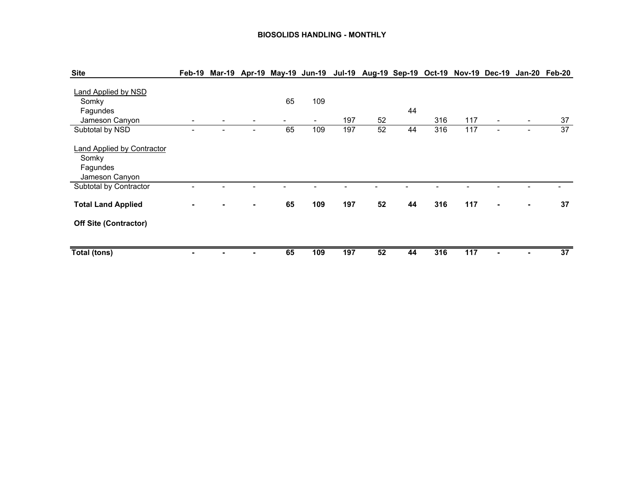#### **BIOSOLIDS HANDLING - MONTHLY**

| <b>Site</b>                                                              | Feb-19 |                |          |                                 |     | Mar-19 Apr-19 May-19 Jun-19 Jul-19 Aug-19 Sep-19 Oct-19 Nov-19 Dec-19 Jan-20 Feb-20 |    |     |     |                          |                          |    |
|--------------------------------------------------------------------------|--------|----------------|----------|---------------------------------|-----|-------------------------------------------------------------------------------------|----|-----|-----|--------------------------|--------------------------|----|
| Land Applied by NSD<br>Somky<br>Fagundes<br>Jameson Canyon               | -      | -              | 65<br>Ξ. | 109<br>$\overline{\phantom{a}}$ | 197 | 52                                                                                  | 44 | 316 | 117 | $\overline{\phantom{a}}$ | $\blacksquare$           | 37 |
| Subtotal by NSD                                                          | -      | ۰              | 65       | 109                             | 197 | 52                                                                                  | 44 | 316 | 117 | $\blacksquare$           | $\overline{\phantom{a}}$ | 37 |
| <b>Land Applied by Contractor</b><br>Somky<br>Fagundes<br>Jameson Canyon |        |                |          |                                 |     |                                                                                     |    |     |     |                          |                          |    |
| Subtotal by Contractor                                                   |        |                |          |                                 |     |                                                                                     |    |     |     |                          |                          |    |
| <b>Total Land Applied</b>                                                |        | $\blacksquare$ | 65       | 109                             | 197 | 52                                                                                  | 44 | 316 | 117 |                          |                          | 37 |
| <b>Off Site (Contractor)</b>                                             |        |                |          |                                 |     |                                                                                     |    |     |     |                          |                          |    |
| Total (tons)                                                             |        |                | 65       | 109                             | 197 | 52                                                                                  | 44 | 316 | 117 |                          |                          | 37 |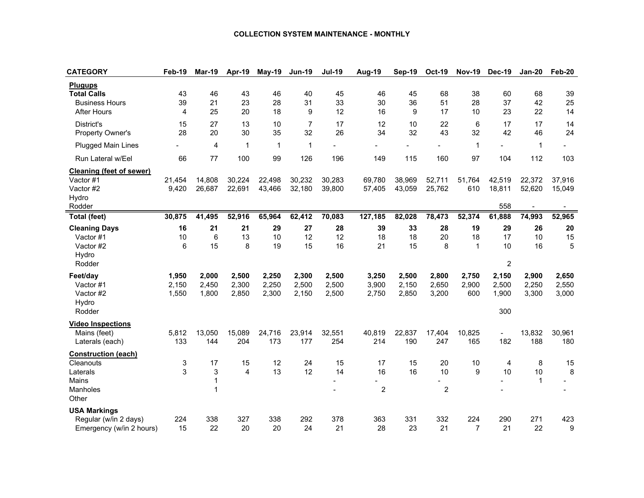#### **COLLECTION SYSTEM MAINTENANCE - MONTHLY**

| <b>Plugups</b><br><b>Total Calls</b><br>45<br>43<br>46<br>43<br>46<br>40<br>46<br>45<br>68<br>38<br>60<br>68<br>39<br>33<br>51<br>39<br>21<br>23<br>28<br>31<br>30<br>36<br>28<br>37<br>42<br>25<br><b>Business Hours</b><br>4<br>25<br>20<br>18<br>9<br>12<br>16<br>9<br>17<br>10<br>23<br>22<br><b>After Hours</b><br>14<br>13<br>10<br>7<br>17<br>12<br>6<br>17<br>District's<br>15<br>27<br>10<br>22<br>17<br>14<br>34<br>43<br>42<br>28<br>20<br>30<br>35<br>32<br>26<br>32<br>32<br>24<br>Property Owner's<br>46<br><b>Plugged Main Lines</b><br>4<br>1<br>$\mathbf{1}$<br>1<br>$\mathbf 1$<br>$\mathbf{1}$<br>99<br>66<br>77<br>100<br>126<br>196<br>149<br>115<br>160<br>97<br>104<br>112<br>103<br>Run Lateral w/Eel<br>Cleaning (feet of sewer)<br>30,232<br>Vactor #1<br>21,454<br>14,808<br>30,224<br>22,498<br>30,283<br>69,780<br>38,969<br>52,711<br>51,764<br>42,519<br>22,372<br>37,916<br>9,420<br>22,691<br>43,466<br>39,800<br>25,762<br>18,811<br>52,620<br>Vactor #2<br>26,687<br>32,180<br>57,405<br>43,059<br>610<br>15,049<br>Hydro<br>558<br>Rodder<br>$\overline{\phantom{a}}$<br>$\blacksquare$<br>30,875<br>78,473<br>41,495<br>52,916<br>65,964<br>62,412<br>70,083<br>127,185<br>82,028<br>52,374<br>61,888<br>74,993<br>52,965<br><b>Total (feet)</b><br>29<br>28<br>39<br>29<br>16<br>21<br>21<br>27<br>33<br>28<br>19<br>26<br>20<br><b>Cleaning Days</b><br>6<br>12<br>13<br>10<br>12<br>18<br>18<br>20<br>18<br>17<br>10<br>15<br>Vactor #1<br>10<br>6<br>8<br>15<br>16<br>21<br>15<br>5<br>Vactor #2<br>15<br>19<br>8<br>$\mathbf{1}$<br>10<br>16<br>Hydro<br>$\overline{c}$<br>Rodder<br>Feet/day<br>1,950<br>2,000<br>2,500<br>2,250<br>2,300<br>2,500<br>3,250<br>2,500<br>2,800<br>2,750<br>2,900<br>2,650<br>2,150<br>2,150<br>2,450<br>2,300<br>2,250<br>2,500<br>2,500<br>3,900<br>2,150<br>2,650<br>2,900<br>2,500<br>2,250<br>2,550<br>Vactor #1<br>Vactor #2<br>1,550<br>1,800<br>2,850<br>2,300<br>2,150<br>2,750<br>2,850<br>3,200<br>3,300<br>3,000<br>2,500<br>600<br>1,900<br>Hydro<br>Rodder<br>300<br><b>Video Inspections</b><br>5,812<br>13,050<br>15,089<br>24,716<br>23,914<br>32,551<br>40,819<br>22,837<br>17,404<br>10,825<br>13,832<br>30,961<br>Mains (feet)<br>204<br>173<br>190<br>182<br>188<br>133<br>144<br>177<br>254<br>214<br>247<br>165<br>180<br>Laterals (each) | <b>CATEGORY</b> | Feb-19 | <b>Mar-19</b> | Apr-19 | <b>May-19</b> | <b>Jun-19</b> | <b>Jul-19</b> | Aug-19 | Sep-19 | <b>Oct-19</b> | <b>Nov-19</b> | <b>Dec-19</b> | <b>Jan-20</b> | Feb-20 |
|-------------------------------------------------------------------------------------------------------------------------------------------------------------------------------------------------------------------------------------------------------------------------------------------------------------------------------------------------------------------------------------------------------------------------------------------------------------------------------------------------------------------------------------------------------------------------------------------------------------------------------------------------------------------------------------------------------------------------------------------------------------------------------------------------------------------------------------------------------------------------------------------------------------------------------------------------------------------------------------------------------------------------------------------------------------------------------------------------------------------------------------------------------------------------------------------------------------------------------------------------------------------------------------------------------------------------------------------------------------------------------------------------------------------------------------------------------------------------------------------------------------------------------------------------------------------------------------------------------------------------------------------------------------------------------------------------------------------------------------------------------------------------------------------------------------------------------------------------------------------------------------------------------------------------------------------------------------------------------------------------------------------------------------------------------------------------------------------------------------------------------------------------------------------------------------------------------------------------------------------------------------------------------------------------------------------------------------------|-----------------|--------|---------------|--------|---------------|---------------|---------------|--------|--------|---------------|---------------|---------------|---------------|--------|
|                                                                                                                                                                                                                                                                                                                                                                                                                                                                                                                                                                                                                                                                                                                                                                                                                                                                                                                                                                                                                                                                                                                                                                                                                                                                                                                                                                                                                                                                                                                                                                                                                                                                                                                                                                                                                                                                                                                                                                                                                                                                                                                                                                                                                                                                                                                                           |                 |        |               |        |               |               |               |        |        |               |               |               |               |        |
|                                                                                                                                                                                                                                                                                                                                                                                                                                                                                                                                                                                                                                                                                                                                                                                                                                                                                                                                                                                                                                                                                                                                                                                                                                                                                                                                                                                                                                                                                                                                                                                                                                                                                                                                                                                                                                                                                                                                                                                                                                                                                                                                                                                                                                                                                                                                           |                 |        |               |        |               |               |               |        |        |               |               |               |               |        |
|                                                                                                                                                                                                                                                                                                                                                                                                                                                                                                                                                                                                                                                                                                                                                                                                                                                                                                                                                                                                                                                                                                                                                                                                                                                                                                                                                                                                                                                                                                                                                                                                                                                                                                                                                                                                                                                                                                                                                                                                                                                                                                                                                                                                                                                                                                                                           |                 |        |               |        |               |               |               |        |        |               |               |               |               |        |
|                                                                                                                                                                                                                                                                                                                                                                                                                                                                                                                                                                                                                                                                                                                                                                                                                                                                                                                                                                                                                                                                                                                                                                                                                                                                                                                                                                                                                                                                                                                                                                                                                                                                                                                                                                                                                                                                                                                                                                                                                                                                                                                                                                                                                                                                                                                                           |                 |        |               |        |               |               |               |        |        |               |               |               |               |        |
|                                                                                                                                                                                                                                                                                                                                                                                                                                                                                                                                                                                                                                                                                                                                                                                                                                                                                                                                                                                                                                                                                                                                                                                                                                                                                                                                                                                                                                                                                                                                                                                                                                                                                                                                                                                                                                                                                                                                                                                                                                                                                                                                                                                                                                                                                                                                           |                 |        |               |        |               |               |               |        |        |               |               |               |               |        |
|                                                                                                                                                                                                                                                                                                                                                                                                                                                                                                                                                                                                                                                                                                                                                                                                                                                                                                                                                                                                                                                                                                                                                                                                                                                                                                                                                                                                                                                                                                                                                                                                                                                                                                                                                                                                                                                                                                                                                                                                                                                                                                                                                                                                                                                                                                                                           |                 |        |               |        |               |               |               |        |        |               |               |               |               |        |
|                                                                                                                                                                                                                                                                                                                                                                                                                                                                                                                                                                                                                                                                                                                                                                                                                                                                                                                                                                                                                                                                                                                                                                                                                                                                                                                                                                                                                                                                                                                                                                                                                                                                                                                                                                                                                                                                                                                                                                                                                                                                                                                                                                                                                                                                                                                                           |                 |        |               |        |               |               |               |        |        |               |               |               |               |        |
|                                                                                                                                                                                                                                                                                                                                                                                                                                                                                                                                                                                                                                                                                                                                                                                                                                                                                                                                                                                                                                                                                                                                                                                                                                                                                                                                                                                                                                                                                                                                                                                                                                                                                                                                                                                                                                                                                                                                                                                                                                                                                                                                                                                                                                                                                                                                           |                 |        |               |        |               |               |               |        |        |               |               |               |               |        |
|                                                                                                                                                                                                                                                                                                                                                                                                                                                                                                                                                                                                                                                                                                                                                                                                                                                                                                                                                                                                                                                                                                                                                                                                                                                                                                                                                                                                                                                                                                                                                                                                                                                                                                                                                                                                                                                                                                                                                                                                                                                                                                                                                                                                                                                                                                                                           |                 |        |               |        |               |               |               |        |        |               |               |               |               |        |
|                                                                                                                                                                                                                                                                                                                                                                                                                                                                                                                                                                                                                                                                                                                                                                                                                                                                                                                                                                                                                                                                                                                                                                                                                                                                                                                                                                                                                                                                                                                                                                                                                                                                                                                                                                                                                                                                                                                                                                                                                                                                                                                                                                                                                                                                                                                                           |                 |        |               |        |               |               |               |        |        |               |               |               |               |        |
|                                                                                                                                                                                                                                                                                                                                                                                                                                                                                                                                                                                                                                                                                                                                                                                                                                                                                                                                                                                                                                                                                                                                                                                                                                                                                                                                                                                                                                                                                                                                                                                                                                                                                                                                                                                                                                                                                                                                                                                                                                                                                                                                                                                                                                                                                                                                           |                 |        |               |        |               |               |               |        |        |               |               |               |               |        |
|                                                                                                                                                                                                                                                                                                                                                                                                                                                                                                                                                                                                                                                                                                                                                                                                                                                                                                                                                                                                                                                                                                                                                                                                                                                                                                                                                                                                                                                                                                                                                                                                                                                                                                                                                                                                                                                                                                                                                                                                                                                                                                                                                                                                                                                                                                                                           |                 |        |               |        |               |               |               |        |        |               |               |               |               |        |
|                                                                                                                                                                                                                                                                                                                                                                                                                                                                                                                                                                                                                                                                                                                                                                                                                                                                                                                                                                                                                                                                                                                                                                                                                                                                                                                                                                                                                                                                                                                                                                                                                                                                                                                                                                                                                                                                                                                                                                                                                                                                                                                                                                                                                                                                                                                                           |                 |        |               |        |               |               |               |        |        |               |               |               |               |        |
|                                                                                                                                                                                                                                                                                                                                                                                                                                                                                                                                                                                                                                                                                                                                                                                                                                                                                                                                                                                                                                                                                                                                                                                                                                                                                                                                                                                                                                                                                                                                                                                                                                                                                                                                                                                                                                                                                                                                                                                                                                                                                                                                                                                                                                                                                                                                           |                 |        |               |        |               |               |               |        |        |               |               |               |               |        |
|                                                                                                                                                                                                                                                                                                                                                                                                                                                                                                                                                                                                                                                                                                                                                                                                                                                                                                                                                                                                                                                                                                                                                                                                                                                                                                                                                                                                                                                                                                                                                                                                                                                                                                                                                                                                                                                                                                                                                                                                                                                                                                                                                                                                                                                                                                                                           |                 |        |               |        |               |               |               |        |        |               |               |               |               |        |
|                                                                                                                                                                                                                                                                                                                                                                                                                                                                                                                                                                                                                                                                                                                                                                                                                                                                                                                                                                                                                                                                                                                                                                                                                                                                                                                                                                                                                                                                                                                                                                                                                                                                                                                                                                                                                                                                                                                                                                                                                                                                                                                                                                                                                                                                                                                                           |                 |        |               |        |               |               |               |        |        |               |               |               |               |        |
|                                                                                                                                                                                                                                                                                                                                                                                                                                                                                                                                                                                                                                                                                                                                                                                                                                                                                                                                                                                                                                                                                                                                                                                                                                                                                                                                                                                                                                                                                                                                                                                                                                                                                                                                                                                                                                                                                                                                                                                                                                                                                                                                                                                                                                                                                                                                           |                 |        |               |        |               |               |               |        |        |               |               |               |               |        |
|                                                                                                                                                                                                                                                                                                                                                                                                                                                                                                                                                                                                                                                                                                                                                                                                                                                                                                                                                                                                                                                                                                                                                                                                                                                                                                                                                                                                                                                                                                                                                                                                                                                                                                                                                                                                                                                                                                                                                                                                                                                                                                                                                                                                                                                                                                                                           |                 |        |               |        |               |               |               |        |        |               |               |               |               |        |
|                                                                                                                                                                                                                                                                                                                                                                                                                                                                                                                                                                                                                                                                                                                                                                                                                                                                                                                                                                                                                                                                                                                                                                                                                                                                                                                                                                                                                                                                                                                                                                                                                                                                                                                                                                                                                                                                                                                                                                                                                                                                                                                                                                                                                                                                                                                                           |                 |        |               |        |               |               |               |        |        |               |               |               |               |        |
|                                                                                                                                                                                                                                                                                                                                                                                                                                                                                                                                                                                                                                                                                                                                                                                                                                                                                                                                                                                                                                                                                                                                                                                                                                                                                                                                                                                                                                                                                                                                                                                                                                                                                                                                                                                                                                                                                                                                                                                                                                                                                                                                                                                                                                                                                                                                           |                 |        |               |        |               |               |               |        |        |               |               |               |               |        |
|                                                                                                                                                                                                                                                                                                                                                                                                                                                                                                                                                                                                                                                                                                                                                                                                                                                                                                                                                                                                                                                                                                                                                                                                                                                                                                                                                                                                                                                                                                                                                                                                                                                                                                                                                                                                                                                                                                                                                                                                                                                                                                                                                                                                                                                                                                                                           |                 |        |               |        |               |               |               |        |        |               |               |               |               |        |
|                                                                                                                                                                                                                                                                                                                                                                                                                                                                                                                                                                                                                                                                                                                                                                                                                                                                                                                                                                                                                                                                                                                                                                                                                                                                                                                                                                                                                                                                                                                                                                                                                                                                                                                                                                                                                                                                                                                                                                                                                                                                                                                                                                                                                                                                                                                                           |                 |        |               |        |               |               |               |        |        |               |               |               |               |        |
|                                                                                                                                                                                                                                                                                                                                                                                                                                                                                                                                                                                                                                                                                                                                                                                                                                                                                                                                                                                                                                                                                                                                                                                                                                                                                                                                                                                                                                                                                                                                                                                                                                                                                                                                                                                                                                                                                                                                                                                                                                                                                                                                                                                                                                                                                                                                           |                 |        |               |        |               |               |               |        |        |               |               |               |               |        |
|                                                                                                                                                                                                                                                                                                                                                                                                                                                                                                                                                                                                                                                                                                                                                                                                                                                                                                                                                                                                                                                                                                                                                                                                                                                                                                                                                                                                                                                                                                                                                                                                                                                                                                                                                                                                                                                                                                                                                                                                                                                                                                                                                                                                                                                                                                                                           |                 |        |               |        |               |               |               |        |        |               |               |               |               |        |
|                                                                                                                                                                                                                                                                                                                                                                                                                                                                                                                                                                                                                                                                                                                                                                                                                                                                                                                                                                                                                                                                                                                                                                                                                                                                                                                                                                                                                                                                                                                                                                                                                                                                                                                                                                                                                                                                                                                                                                                                                                                                                                                                                                                                                                                                                                                                           |                 |        |               |        |               |               |               |        |        |               |               |               |               |        |
|                                                                                                                                                                                                                                                                                                                                                                                                                                                                                                                                                                                                                                                                                                                                                                                                                                                                                                                                                                                                                                                                                                                                                                                                                                                                                                                                                                                                                                                                                                                                                                                                                                                                                                                                                                                                                                                                                                                                                                                                                                                                                                                                                                                                                                                                                                                                           |                 |        |               |        |               |               |               |        |        |               |               |               |               |        |
|                                                                                                                                                                                                                                                                                                                                                                                                                                                                                                                                                                                                                                                                                                                                                                                                                                                                                                                                                                                                                                                                                                                                                                                                                                                                                                                                                                                                                                                                                                                                                                                                                                                                                                                                                                                                                                                                                                                                                                                                                                                                                                                                                                                                                                                                                                                                           |                 |        |               |        |               |               |               |        |        |               |               |               |               |        |
| <b>Construction (each)</b>                                                                                                                                                                                                                                                                                                                                                                                                                                                                                                                                                                                                                                                                                                                                                                                                                                                                                                                                                                                                                                                                                                                                                                                                                                                                                                                                                                                                                                                                                                                                                                                                                                                                                                                                                                                                                                                                                                                                                                                                                                                                                                                                                                                                                                                                                                                |                 |        |               |        |               |               |               |        |        |               |               |               |               |        |
| 3<br>17<br>15<br>12<br>24<br>15<br>17<br>15<br>20<br>10<br>8<br>Cleanouts<br>15<br>4                                                                                                                                                                                                                                                                                                                                                                                                                                                                                                                                                                                                                                                                                                                                                                                                                                                                                                                                                                                                                                                                                                                                                                                                                                                                                                                                                                                                                                                                                                                                                                                                                                                                                                                                                                                                                                                                                                                                                                                                                                                                                                                                                                                                                                                      |                 |        |               |        |               |               |               |        |        |               |               |               |               |        |
| 3<br>12<br>16<br>9<br>3<br>13<br>14<br>16<br>10<br>10<br>10<br>8<br>Laterals<br>4                                                                                                                                                                                                                                                                                                                                                                                                                                                                                                                                                                                                                                                                                                                                                                                                                                                                                                                                                                                                                                                                                                                                                                                                                                                                                                                                                                                                                                                                                                                                                                                                                                                                                                                                                                                                                                                                                                                                                                                                                                                                                                                                                                                                                                                         |                 |        |               |        |               |               |               |        |        |               |               |               |               |        |
| $\mathbf{1}$<br>Mains<br>$\mathbf{1}$<br>۳<br>$\sim$                                                                                                                                                                                                                                                                                                                                                                                                                                                                                                                                                                                                                                                                                                                                                                                                                                                                                                                                                                                                                                                                                                                                                                                                                                                                                                                                                                                                                                                                                                                                                                                                                                                                                                                                                                                                                                                                                                                                                                                                                                                                                                                                                                                                                                                                                      |                 |        |               |        |               |               |               |        |        |               |               |               |               |        |
| $\overline{c}$<br>$\overline{c}$<br>1<br><b>Manholes</b>                                                                                                                                                                                                                                                                                                                                                                                                                                                                                                                                                                                                                                                                                                                                                                                                                                                                                                                                                                                                                                                                                                                                                                                                                                                                                                                                                                                                                                                                                                                                                                                                                                                                                                                                                                                                                                                                                                                                                                                                                                                                                                                                                                                                                                                                                  |                 |        |               |        |               |               |               |        |        |               |               |               |               |        |
| Other                                                                                                                                                                                                                                                                                                                                                                                                                                                                                                                                                                                                                                                                                                                                                                                                                                                                                                                                                                                                                                                                                                                                                                                                                                                                                                                                                                                                                                                                                                                                                                                                                                                                                                                                                                                                                                                                                                                                                                                                                                                                                                                                                                                                                                                                                                                                     |                 |        |               |        |               |               |               |        |        |               |               |               |               |        |
| <b>USA Markings</b>                                                                                                                                                                                                                                                                                                                                                                                                                                                                                                                                                                                                                                                                                                                                                                                                                                                                                                                                                                                                                                                                                                                                                                                                                                                                                                                                                                                                                                                                                                                                                                                                                                                                                                                                                                                                                                                                                                                                                                                                                                                                                                                                                                                                                                                                                                                       |                 |        |               |        |               |               |               |        |        |               |               |               |               |        |
| 224<br>338<br>327<br>338<br>292<br>378<br>363<br>331<br>332<br>224<br>290<br>271<br>423<br>Regular (w/in 2 days)                                                                                                                                                                                                                                                                                                                                                                                                                                                                                                                                                                                                                                                                                                                                                                                                                                                                                                                                                                                                                                                                                                                                                                                                                                                                                                                                                                                                                                                                                                                                                                                                                                                                                                                                                                                                                                                                                                                                                                                                                                                                                                                                                                                                                          |                 |        |               |        |               |               |               |        |        |               |               |               |               |        |
| 15<br>22<br>20<br>20<br>24<br>21<br>28<br>23<br>21<br>$\overline{7}$<br>21<br>22<br>9<br>Emergency (w/in 2 hours)                                                                                                                                                                                                                                                                                                                                                                                                                                                                                                                                                                                                                                                                                                                                                                                                                                                                                                                                                                                                                                                                                                                                                                                                                                                                                                                                                                                                                                                                                                                                                                                                                                                                                                                                                                                                                                                                                                                                                                                                                                                                                                                                                                                                                         |                 |        |               |        |               |               |               |        |        |               |               |               |               |        |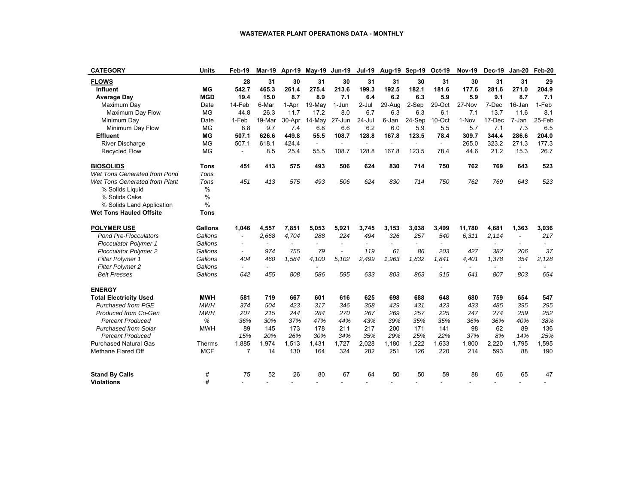| <b>CATEGORY</b>                | <b>Units</b> | Feb-19                   | Mar-19         |        | Apr-19 May-19 Jun-19 |                |                | Jul-19 Aug-19 Sep-19 Oct-19 |                |                | <b>Nov-19</b> | <b>Dec-19</b> | Jan-20                   | Feb-20 |
|--------------------------------|--------------|--------------------------|----------------|--------|----------------------|----------------|----------------|-----------------------------|----------------|----------------|---------------|---------------|--------------------------|--------|
| <b>FLOWS</b>                   |              | 28                       | 31             | 30     | 31                   | 30             | 31             | 31                          | 30             | 31             | 30            | 31            | 31                       | 29     |
| Influent                       | МG           | 542.7                    | 465.3          | 261.4  | 275.4                | 213.6          | 199.3          | 192.5                       | 182.1          | 181.6          | 177.6         | 281.6         | 271.0                    | 204.9  |
| <b>Average Day</b>             | <b>MGD</b>   | 19.4                     | 15.0           | 8.7    | 8.9                  | 7.1            | 6.4            | 6.2                         | 6.3            | 5.9            | 5.9           | 9.1           | 8.7                      | 7.1    |
| Maximum Day                    | Date         | 14-Feb                   | 6-Mar          | 1-Apr  | 19-May               | 1-Jun          | $2-Jul$        | 29-Aug                      | 2-Sep          | 29-Oct         | 27-Nov        | 7-Dec         | 16-Jan                   | 1-Feb  |
| Maximum Day Flow               | <b>MG</b>    | 44.8                     | 26.3           | 11.7   | 17.2                 | 8.0            | 6.7            | 6.3                         | 6.3            | 6.1            | 7.1           | 13.7          | 11.6                     | 8.1    |
| Minimum Day                    | Date         | 1-Feb                    | 19-Mar         | 30-Apr | 14-May               | 27-Jun         | $24 -$ Jul     | 6-Jan                       | 24-Sep         | 10-Oct         | 1-Nov         | 17-Dec        | 7-Jan                    | 25-Feb |
| Minimum Day Flow               | <b>MG</b>    | 8.8                      | 9.7            | 7.4    | 6.8                  | 6.6            | 6.2            | 6.0                         | 5.9            | 5.5            | 5.7           | 7.1           | 7.3                      | 6.5    |
| <b>Effluent</b>                | <b>MG</b>    | 507.1                    | 626.6          | 449.8  | 55.5                 | 108.7          | 128.8          | 167.8                       | 123.5          | 78.4           | 309.7         | 344.4         | 286.6                    | 204.0  |
| <b>River Discharge</b>         | MG           | 507.1                    | 618.1          | 424.4  | $\sim$               | $\blacksquare$ | $\blacksquare$ | $\blacksquare$              | $\blacksquare$ | $\blacksquare$ | 265.0         | 323.2         | 271.3                    | 177.3  |
| <b>Recycled Flow</b>           | <b>MG</b>    | $\blacksquare$           | 8.5            | 25.4   | 55.5                 | 108.7          | 128.8          | 167.8                       | 123.5          | 78.4           | 44.6          | 21.2          | 15.3                     | 26.7   |
| <b>BIOSOLIDS</b>               | <b>Tons</b>  | 451                      | 413            | 575    | 493                  | 506            | 624            | 830                         | 714            | 750            | 762           | 769           | 643                      | 523    |
| Wet Tons Generated from Pond   | Tons         |                          |                |        |                      |                |                |                             |                |                |               |               |                          |        |
| Wet Tons Generated from Plant  | Tons         | 451                      | 413            | 575    | 493                  | 506            | 624            | 830                         | 714            | 750            | 762           | 769           | 643                      | 523    |
| % Solids Liquid                | %            |                          |                |        |                      |                |                |                             |                |                |               |               |                          |        |
| % Solids Cake                  | %            |                          |                |        |                      |                |                |                             |                |                |               |               |                          |        |
| % Solids Land Application      | %            |                          |                |        |                      |                |                |                             |                |                |               |               |                          |        |
| <b>Wet Tons Hauled Offsite</b> | <b>Tons</b>  |                          |                |        |                      |                |                |                             |                |                |               |               |                          |        |
| <b>POLYMER USE</b>             | Gallons      | 1,046                    | 4,557          | 7,851  | 5,053                | 5,921          | 3,745          | 3,153                       | 3,038          | 3,499          | 11,780        | 4,681         | 1,363                    | 3,036  |
| <b>Pond Pre-Flocculators</b>   | Gallons      |                          | 2,668          | 4,704  | 288                  | 224            | 494            | 326                         | 257            | 540            | 6,311         | 2,114         | $\overline{\phantom{a}}$ | 217    |
| <b>Flocculator Polymer 1</b>   | Gallons      | $\overline{\phantom{0}}$ | $\overline{a}$ | $\sim$ |                      | $\overline{a}$ | $\overline{a}$ | $\overline{a}$              |                |                |               |               |                          |        |
| <b>Flocculator Polymer 2</b>   | Gallons      | $\overline{\phantom{a}}$ | 974            | 755    | 79                   | $\overline{a}$ | 119            | 61                          | 86             | 203            | 427           | 382           | 206                      | 37     |
| <b>Filter Polymer 1</b>        | Gallons      | 404                      | 460            | 1,584  | 4,100                | 5,102          | 2,499          | 1,963                       | 1,832          | 1,841          | 4,401         | 1,378         | 354                      | 2,128  |
| <b>Filter Polymer 2</b>        | Gallons      |                          |                |        |                      |                |                |                             |                |                |               |               | $\overline{\phantom{a}}$ |        |
| <b>Belt Presses</b>            | Gallons      | 642                      | 455            | 808    | 586                  | 595            | 633            | 803                         | 863            | 915            | 641           | 807           | 803                      | 654    |
| <b>ENERGY</b>                  |              |                          |                |        |                      |                |                |                             |                |                |               |               |                          |        |
| <b>Total Electricity Used</b>  | <b>MWH</b>   | 581                      | 719            | 667    | 601                  | 616            | 625            | 698                         | 688            | 648            | 680           | 759           | 654                      | 547    |
| Purchased from PGE             | <b>MWH</b>   | 374                      | 504            | 423    | 317                  | 346            | 358            | 429                         | 431            | 423            | 433           | 485           | 395                      | 295    |
| Produced from Co-Gen           | <b>MWH</b>   | 207                      | 215            | 244    | 284                  | 270            | 267            | 269                         | 257            | 225            | 247           | 274           | 259                      | 252    |
| <b>Percent Produced</b>        | %            | 36%                      | 30%            | 37%    | 47%                  | 44%            | 43%            | 39%                         | 35%            | 35%            | 36%           | 36%           | 40%                      | 38%    |
| <b>Purchased from Solar</b>    | <b>MWH</b>   | 89                       | 145            | 173    | 178                  | 211            | 217            | 200                         | 171            | 141            | 98            | 62            | 89                       | 136    |
| <b>Percent Produced</b>        |              | 15%                      | 20%            | 26%    | 30%                  | 34%            | 35%            | 29%                         | 25%            | 22%            | 37%           | 8%            | 14%                      | 25%    |
| <b>Purchased Natural Gas</b>   | Therms       | 1,885                    | 1,974          | 1,513  | 1,431                | 1,727          | 2,028          | 1,180                       | 1,222          | 1,633          | 1,800         | 2,220         | 1,795                    | 1,595  |
| Methane Flared Off             | <b>MCF</b>   | $\overline{7}$           | 14             | 130    | 164                  | 324            | 282            | 251                         | 126            | 220            | 214           | 593           | 88                       | 190    |
| <b>Stand By Calls</b>          | #            | 75                       | 52             | 26     | 80                   | 67             | 64             | 50                          | 50             | 59             | 88            | 66            | 65                       | 47     |
| <b>Violations</b>              | #            |                          |                |        |                      |                |                |                             |                |                |               |               |                          |        |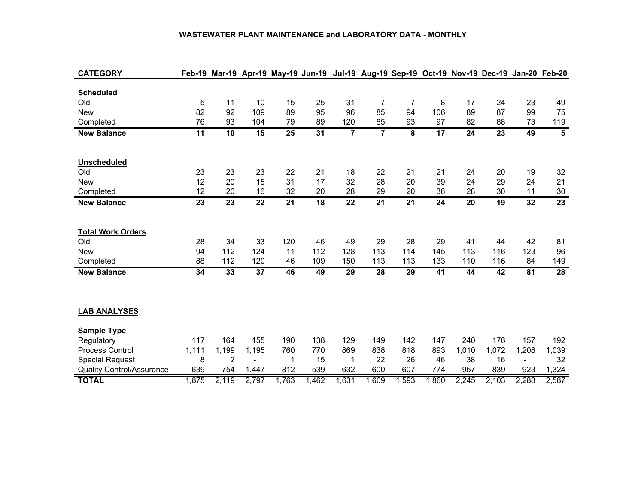#### **WASTEWATER PLANT MAINTENANCE and LABORATORY DATA - MONTHLY**

| <b>CATEGORY</b>                  | Feb-19          |                 |                 | Mar-19 Apr-19 May-19 Jun-19 Jul-19 Aug-19 Sep-19 Oct-19 Nov-19 Dec-19 Jan-20 Feb-20 |                 |                 |                         |                 |                 |                 |                 |                          |                         |
|----------------------------------|-----------------|-----------------|-----------------|-------------------------------------------------------------------------------------|-----------------|-----------------|-------------------------|-----------------|-----------------|-----------------|-----------------|--------------------------|-------------------------|
|                                  |                 |                 |                 |                                                                                     |                 |                 |                         |                 |                 |                 |                 |                          |                         |
| <b>Scheduled</b>                 |                 |                 |                 |                                                                                     |                 |                 |                         |                 |                 |                 |                 |                          |                         |
| Old                              | $\mathbf 5$     | 11              | 10              | 15                                                                                  | 25              | 31              | 7                       | 7               | 8               | 17              | 24              | 23                       | 49                      |
| <b>New</b>                       | 82              | 92              | 109             | 89                                                                                  | 95              | 96              | 85                      | 94              | 106             | 89              | 87              | 99                       | 75                      |
| Completed                        | 76              | 93              | 104             | 79                                                                                  | 89              | 120             | 85                      | 93              | 97              | 82              | 88              | 73                       | 119                     |
| <b>New Balance</b>               | $\overline{11}$ | $\overline{10}$ | $\overline{15}$ | 25                                                                                  | $\overline{31}$ | $\overline{7}$  | $\overline{\mathbf{7}}$ | 8               | $\overline{17}$ | $\overline{24}$ | $\overline{23}$ | 49                       | $\overline{\mathbf{5}}$ |
|                                  |                 |                 |                 |                                                                                     |                 |                 |                         |                 |                 |                 |                 |                          |                         |
|                                  |                 |                 |                 |                                                                                     |                 |                 |                         |                 |                 |                 |                 |                          |                         |
| Unscheduled                      |                 |                 |                 |                                                                                     |                 |                 |                         |                 |                 |                 |                 |                          |                         |
| Old                              | 23              | 23              | 23              | 22                                                                                  | 21              | 18              | 22                      | 21              | 21              | 24              | 20              | 19                       | 32                      |
| <b>New</b>                       | 12              | 20              | 15              | 31                                                                                  | 17              | 32              | 28                      | 20              | 39              | 24              | 29              | 24                       | 21                      |
| Completed                        | 12              | 20              | 16              | 32                                                                                  | 20              | 28              | 29                      | 20              | 36              | 28              | 30              | 11                       | 30                      |
| <b>New Balance</b>               | $\overline{23}$ | $\overline{23}$ | $\overline{22}$ | $\overline{21}$                                                                     | $\overline{18}$ | $\overline{22}$ | $\overline{21}$         | $\overline{21}$ | $\overline{24}$ | $\overline{20}$ | 19              | $\overline{32}$          | $\overline{23}$         |
|                                  |                 |                 |                 |                                                                                     |                 |                 |                         |                 |                 |                 |                 |                          |                         |
|                                  |                 |                 |                 |                                                                                     |                 |                 |                         |                 |                 |                 |                 |                          |                         |
| <b>Total Work Orders</b>         |                 |                 |                 |                                                                                     |                 |                 |                         |                 |                 |                 |                 |                          |                         |
| Old                              | 28              | 34              | 33              | 120                                                                                 | 46              | 49              | 29                      | 28              | 29              | 41              | 44              | 42                       | 81                      |
| <b>New</b>                       | 94              | 112             | 124             | 11                                                                                  | 112             | 128             | 113                     | 114             | 145             | 113             | 116             | 123                      | 96                      |
| Completed                        | 88              | 112             | 120             | 46                                                                                  | 109             | 150             | 113                     | 113             | 133             | 110             | 116             | 84                       | 149                     |
| <b>New Balance</b>               | 34              | 33              | $\overline{37}$ | 46                                                                                  | 49              | 29              | 28                      | 29              | 41              | 44              | $\overline{42}$ | 81                       | 28                      |
|                                  |                 |                 |                 |                                                                                     |                 |                 |                         |                 |                 |                 |                 |                          |                         |
|                                  |                 |                 |                 |                                                                                     |                 |                 |                         |                 |                 |                 |                 |                          |                         |
|                                  |                 |                 |                 |                                                                                     |                 |                 |                         |                 |                 |                 |                 |                          |                         |
| <b>LAB ANALYSES</b>              |                 |                 |                 |                                                                                     |                 |                 |                         |                 |                 |                 |                 |                          |                         |
| <b>Sample Type</b>               |                 |                 |                 |                                                                                     |                 |                 |                         |                 |                 |                 |                 |                          |                         |
| Regulatory                       | 117             | 164             | 155             | 190                                                                                 | 138             | 129             | 149                     | 142             | 147             | 240             | 176             | 157                      | 192                     |
| Process Control                  | 1,111           | 1,199           | 1,195           | 760                                                                                 | 770             | 869             | 838                     | 818             | 893             | 1,010           | 1,072           | 1,208                    | 1,039                   |
| <b>Special Request</b>           | 8               | $\overline{2}$  |                 | 1                                                                                   | 15              | $\mathbf{1}$    | 22                      | 26              | 46              | 38              | 16              | $\overline{\phantom{a}}$ | 32                      |
| <b>Quality Control/Assurance</b> | 639             | 754             | 1,447           | 812                                                                                 | 539             | 632             | 600                     | 607             | 774             | 957             | 839             | 923                      | 1,324                   |
|                                  |                 |                 |                 |                                                                                     |                 |                 |                         |                 |                 |                 |                 |                          |                         |
| <b>TOTAL</b>                     | 1,875           | 2,119           | 2,797           | 1,763                                                                               | 1,462           | 1,631           | 1,609                   | 1,593           | 1,860           | 2,245           | 2,103           | 2,288                    | 2,587                   |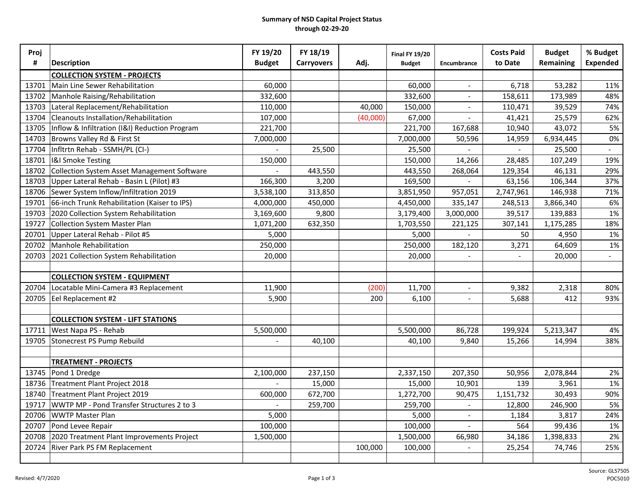#### **Summary of NSD Capital Project Status through 02-29-20**

| Proj  |                                               | FY 19/20      | FY 18/19          |          | <b>Final FY 19/20</b> |                          | <b>Costs Paid</b>        | <b>Budget</b> | % Budget        |
|-------|-----------------------------------------------|---------------|-------------------|----------|-----------------------|--------------------------|--------------------------|---------------|-----------------|
| #     | <b>Description</b>                            | <b>Budget</b> | <b>Carryovers</b> | Adj.     | <b>Budget</b>         | Encumbrance              | to Date                  | Remaining     | <b>Expended</b> |
|       | <b>COLLECTION SYSTEM - PROJECTS</b>           |               |                   |          |                       |                          |                          |               |                 |
| 13701 | Main Line Sewer Rehabilitation                | 60,000        |                   |          | 60,000                |                          | 6,718                    | 53,282        | 11%             |
| 13702 | Manhole Raising/Rehabilitation                | 332,600       |                   |          | 332,600               | $\overline{\phantom{a}}$ | 158,611                  | 173,989       | 48%             |
| 13703 | Lateral Replacement/Rehabilitation            | 110,000       |                   | 40,000   | 150,000               |                          | 110,471                  | 39,529        | 74%             |
| 13704 | Cleanouts Installation/Rehabilitation         | 107,000       |                   | (40,000) | 67,000                |                          | 41,421                   | 25,579        | 62%             |
| 13705 | Inflow & Infiltration (I&I) Reduction Program | 221,700       |                   |          | 221,700               | 167,688                  | 10,940                   | 43,072        | 5%              |
| 14703 | Browns Valley Rd & First St                   | 7,000,000     |                   |          | 7,000,000             | 50,596                   | 14,959                   | 6,934,445     | 0%              |
| 17704 | Infltrtn Rehab - SSMH/PL (CI-)                |               | 25,500            |          | 25,500                |                          |                          | 25,500        |                 |
| 18701 | <b>I&amp;I Smoke Testing</b>                  | 150,000       |                   |          | 150,000               | 14,266                   | 28,485                   | 107,249       | 19%             |
| 18702 | Collection System Asset Management Software   |               | 443,550           |          | 443,550               | 268,064                  | 129,354                  | 46,131        | 29%             |
| 18703 | Upper Lateral Rehab - Basin L (Pilot) #3      | 166,300       | 3,200             |          | 169,500               |                          | 63,156                   | 106,344       | 37%             |
| 18706 | Sewer System Inflow/Infiltration 2019         | 3,538,100     | 313,850           |          | 3,851,950             | 957,051                  | 2,747,961                | 146,938       | 71%             |
| 19701 | 66-inch Trunk Rehabilitation (Kaiser to IPS)  | 4,000,000     | 450,000           |          | 4,450,000             | 335,147                  | 248,513                  | 3,866,340     | 6%              |
| 19703 | 2020 Collection System Rehabilitation         | 3,169,600     | 9,800             |          | 3,179,400             | 3,000,000                | 39,517                   | 139,883       | 1%              |
| 19727 | Collection System Master Plan                 | 1,071,200     | 632,350           |          | 1,703,550             | 221,125                  | 307,141                  | 1,175,285     | 18%             |
| 20701 | Upper Lateral Rehab - Pilot #5                | 5,000         |                   |          | 5,000                 |                          | 50                       | 4,950         | 1%              |
| 20702 | Manhole Rehabilitation                        | 250,000       |                   |          | 250,000               | 182,120                  | 3,271                    | 64,609        | 1%              |
| 20703 | 2021 Collection System Rehabilitation         | 20,000        |                   |          | 20,000                | $\overline{\phantom{0}}$ | $\overline{\phantom{0}}$ | 20,000        | $ \,$           |
|       |                                               |               |                   |          |                       |                          |                          |               |                 |
|       | <b>COLLECTION SYSTEM - EQUIPMENT</b>          |               |                   |          |                       |                          |                          |               |                 |
| 20704 | Locatable Mini-Camera #3 Replacement          | 11,900        |                   | (200)    | 11,700                |                          | 9,382                    | 2,318         | 80%             |
| 20705 | Eel Replacement #2                            | 5,900         |                   | 200      | 6,100                 | $\overline{\phantom{a}}$ | 5,688                    | 412           | 93%             |
|       |                                               |               |                   |          |                       |                          |                          |               |                 |
|       | <b>COLLECTION SYSTEM - LIFT STATIONS</b>      |               |                   |          |                       |                          |                          |               |                 |
| 17711 | West Napa PS - Rehab                          | 5,500,000     |                   |          | 5,500,000             | 86,728                   | 199,924                  | 5,213,347     | 4%              |
| 19705 | Stonecrest PS Pump Rebuild                    |               | 40,100            |          | 40,100                | 9,840                    | 15,266                   | 14,994        | 38%             |
|       |                                               |               |                   |          |                       |                          |                          |               |                 |
|       | <b>TREATMENT - PROJECTS</b>                   |               |                   |          |                       |                          |                          |               |                 |
|       | 13745 Pond 1 Dredge                           | 2,100,000     | 237,150           |          | 2,337,150             | 207,350                  | 50,956                   | 2,078,844     | 2%              |
|       | 18736 Treatment Plant Project 2018            |               | 15,000            |          | 15,000                | 10,901                   | 139                      | 3,961         | 1%              |
| 18740 | Treatment Plant Project 2019                  | 600,000       | 672,700           |          | 1,272,700             | 90,475                   | 1,151,732                | 30,493        | 90%             |
| 19717 | WWTP MP - Pond Transfer Structures 2 to 3     |               | 259,700           |          | 259,700               |                          | 12,800                   | 246,900       | 5%              |
| 20706 | <b>WWTP Master Plan</b>                       | 5,000         |                   |          | 5,000                 |                          | 1,184                    | 3,817         | 24%             |
| 20707 | Pond Levee Repair                             | 100,000       |                   |          | 100,000               |                          | 564                      | 99,436        | 1%              |
| 20708 | 2020 Treatment Plant Improvements Project     | 1,500,000     |                   |          | 1,500,000             | 66,980                   | 34,186                   | 1,398,833     | 2%              |
| 20724 | <b>River Park PS FM Replacement</b>           |               |                   | 100,000  | 100,000               |                          | 25,254                   | 74,746        | 25%             |
|       |                                               |               |                   |          |                       |                          |                          |               |                 |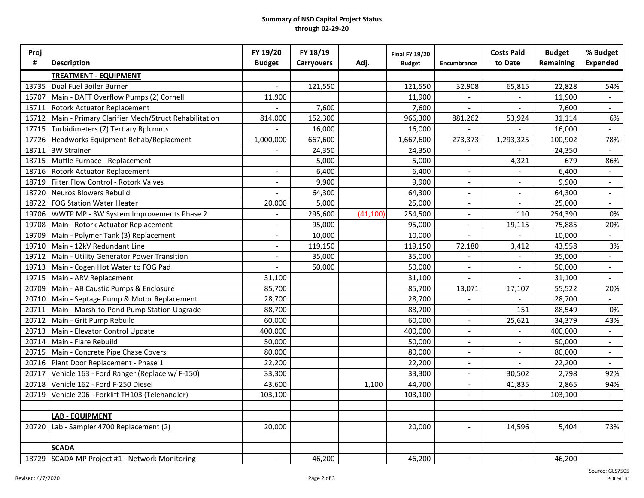#### **Summary of NSD Capital Project Status through 02-29-20**

| Proj  |                                                     | FY 19/20      | FY 18/19          |           | <b>Final FY 19/20</b> |                          | <b>Costs Paid</b> | <b>Budget</b>    | % Budget                 |
|-------|-----------------------------------------------------|---------------|-------------------|-----------|-----------------------|--------------------------|-------------------|------------------|--------------------------|
| #     | <b>Description</b>                                  | <b>Budget</b> | <b>Carryovers</b> | Adj.      | <b>Budget</b>         | <b>Encumbrance</b>       | to Date           | <b>Remaining</b> | <b>Expended</b>          |
|       | <b>TREATMENT - EQUIPMENT</b>                        |               |                   |           |                       |                          |                   |                  |                          |
| 13735 | Dual Fuel Boiler Burner                             |               | 121,550           |           | 121,550               | 32,908                   | 65,815            | 22,828           | 54%                      |
| 15707 | Main - DAFT Overflow Pumps (2) Cornell              | 11,900        |                   |           | 11,900                |                          |                   | 11,900           |                          |
| 15711 | <b>Rotork Actuator Replacement</b>                  |               | 7,600             |           | 7,600                 |                          |                   | 7,600            | $\overline{\phantom{a}}$ |
| 16712 | Main - Primary Clarifier Mech/Struct Rehabilitation | 814,000       | 152,300           |           | 966,300               | 881,262                  | 53,924            | 31,114           | 6%                       |
| 17715 | Turbidimeters (7) Tertiary Rplcmnts                 |               | 16,000            |           | 16,000                |                          |                   | 16,000           |                          |
| 17726 | Headworks Equipment Rehab/Replacment                | 1,000,000     | 667,600           |           | 1,667,600             | 273,373                  | 1,293,325         | 100,902          | 78%                      |
|       | 18711 3W Strainer                                   |               | 24,350            |           | 24,350                |                          |                   | 24,350           |                          |
| 18715 | Muffle Furnace - Replacement                        |               | 5,000             |           | 5,000                 |                          | 4,321             | 679              | 86%                      |
|       | 18716   Rotork Actuator Replacement                 |               | 6,400             |           | 6,400                 |                          |                   | 6,400            |                          |
| 18719 | Filter Flow Control - Rotork Valves                 |               | 9,900             |           | 9,900                 |                          |                   | 9,900            | $\overline{\phantom{a}}$ |
| 18720 | Neuros Blowers Rebuild                              |               | 64,300            |           | 64,300                |                          |                   | 64,300           | $\overline{\phantom{a}}$ |
| 18722 | <b>FOG Station Water Heater</b>                     | 20,000        | 5,000             |           | 25,000                |                          |                   | 25,000           |                          |
| 19706 | WWTP MP - 3W System Improvements Phase 2            |               | 295,600           | (41, 100) | 254,500               | $\overline{\phantom{a}}$ | 110               | 254,390          | 0%                       |
| 19708 | Main - Rotork Actuator Replacement                  |               | 95,000            |           | 95,000                |                          | 19,115            | 75,885           | 20%                      |
| 19709 | Main - Polymer Tank (3) Replacement                 |               | 10,000            |           | 10,000                |                          |                   | 10,000           |                          |
| 19710 | Main - 12kV Redundant Line                          |               | 119,150           |           | 119,150               | 72,180                   | 3,412             | 43,558           | 3%                       |
| 19712 | Main - Utility Generator Power Transition           |               | 35,000            |           | 35,000                |                          |                   | 35,000           |                          |
| 19713 | Main - Cogen Hot Water to FOG Pad                   |               | 50,000            |           | 50,000                | $\overline{\phantom{a}}$ |                   | 50,000           | $\overline{\phantom{a}}$ |
| 19715 | Main - ARV Replacement                              | 31,100        |                   |           | 31,100                |                          |                   | 31,100           | $\overline{\phantom{a}}$ |
| 20709 | Main - AB Caustic Pumps & Enclosure                 | 85,700        |                   |           | 85,700                | 13,071                   | 17,107            | 55,522           | 20%                      |
| 20710 | Main - Septage Pump & Motor Replacement             | 28,700        |                   |           | 28,700                |                          |                   | 28,700           |                          |
| 20711 | Main - Marsh-to-Pond Pump Station Upgrade           | 88,700        |                   |           | 88,700                |                          | 151               | 88,549           | 0%                       |
| 20712 | Main - Grit Pump Rebuild                            | 60,000        |                   |           | 60,000                | $\overline{\phantom{a}}$ | 25,621            | 34,379           | 43%                      |
| 20713 | Main - Elevator Control Update                      | 400,000       |                   |           | 400,000               | $\blacksquare$           |                   | 400,000          | $\overline{\phantom{a}}$ |
| 20714 | Main - Flare Rebuild                                | 50,000        |                   |           | 50,000                | $\overline{\phantom{a}}$ |                   | 50,000           | $\overline{\phantom{a}}$ |
| 20715 | Main - Concrete Pipe Chase Covers                   | 80,000        |                   |           | 80,000                |                          |                   | 80,000           | $\overline{\phantom{a}}$ |
|       | 20716   Plant Door Replacement - Phase 1            | 22,200        |                   |           | 22,200                |                          |                   | 22,200           |                          |
|       | 20717 Vehicle 163 - Ford Ranger (Replace w/ F-150)  | 33,300        |                   |           | 33,300                |                          | 30,502            | 2,798            | 92%                      |
|       | 20718 Vehicle 162 - Ford F-250 Diesel               | 43,600        |                   | 1,100     | 44,700                |                          | 41,835            | 2,865            | 94%                      |
|       | 20719 Vehicle 206 - Forklift TH103 (Telehandler)    | 103,100       |                   |           | 103,100               |                          |                   | 103,100          |                          |
|       |                                                     |               |                   |           |                       |                          |                   |                  |                          |
|       | <b>LAB - EQUIPMENT</b>                              |               |                   |           |                       |                          |                   |                  |                          |
| 20720 | Lab - Sampler 4700 Replacement (2)                  | 20,000        |                   |           | 20,000                |                          | 14,596            | 5,404            | 73%                      |
|       |                                                     |               |                   |           |                       |                          |                   |                  |                          |
|       | <b>SCADA</b>                                        |               |                   |           |                       |                          |                   |                  |                          |
|       | 18729 SCADA MP Project #1 - Network Monitoring      | $\sim$        | 46,200            |           | 46,200                | $\overline{\phantom{a}}$ | $\sim$            | 46,200           | $\sim$                   |